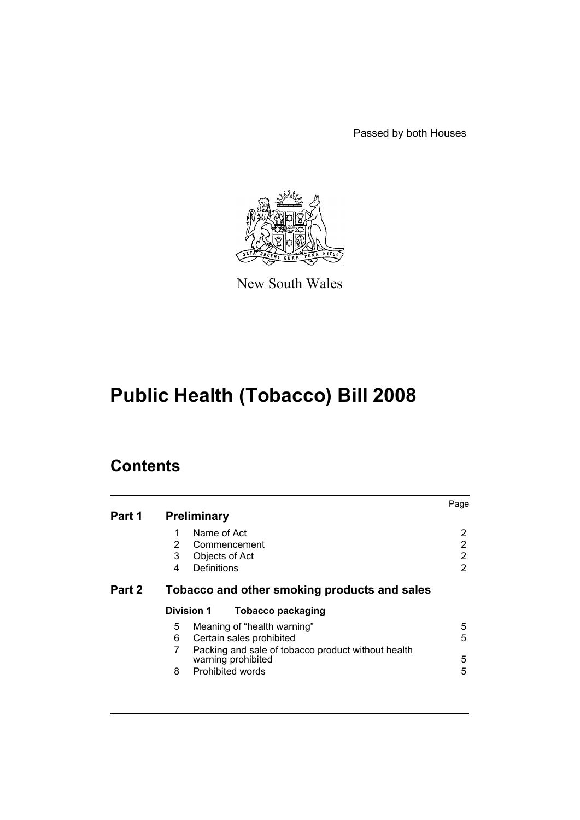Passed by both Houses



New South Wales

# **Public Health (Tobacco) Bill 2008**

| Part 1 | <b>Preliminary</b>                                                       | Page |
|--------|--------------------------------------------------------------------------|------|
|        | Name of Act<br>1                                                         | 2    |
|        | $\overline{2}$<br>Commencement                                           | 2    |
|        | 3<br>Objects of Act                                                      | 2    |
|        | Definitions<br>4                                                         | 2    |
| Part 2 | Tobacco and other smoking products and sales                             |      |
|        | <b>Division 1</b><br>Tobacco packaging                                   |      |
|        | Meaning of "health warning"<br>5                                         | 5    |
|        | 6<br>Certain sales prohibited                                            | 5    |
|        | Packing and sale of tobacco product without health<br>warning prohibited | 5    |
|        | Prohibited words<br>8                                                    | 5    |
|        |                                                                          |      |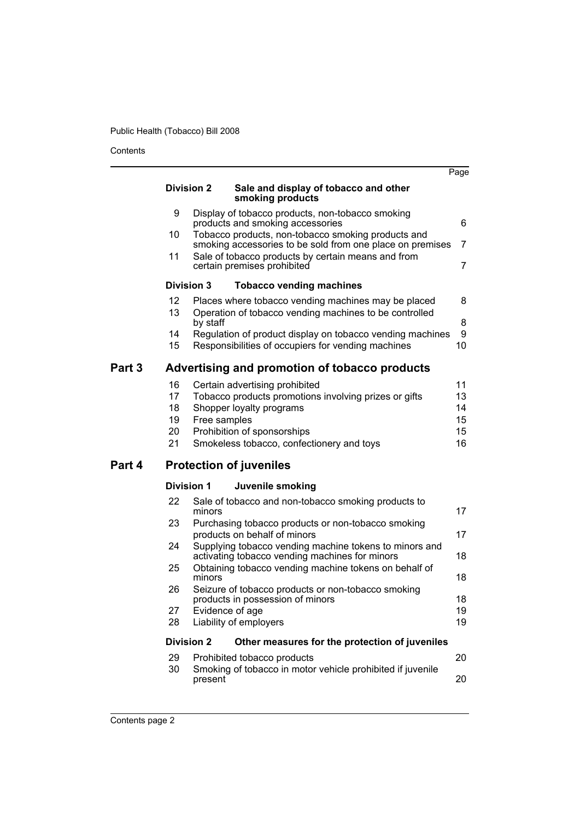|        |          |                   |                                                                                                                                                                       | Page           |
|--------|----------|-------------------|-----------------------------------------------------------------------------------------------------------------------------------------------------------------------|----------------|
|        |          | <b>Division 2</b> | Sale and display of tobacco and other<br>smoking products                                                                                                             |                |
|        | 9        |                   | Display of tobacco products, non-tobacco smoking<br>products and smoking accessories                                                                                  | 6              |
|        | 10<br>11 |                   | Tobacco products, non-tobacco smoking products and<br>smoking accessories to be sold from one place on premises<br>Sale of tobacco products by certain means and from | 7              |
|        |          |                   | certain premises prohibited                                                                                                                                           | $\overline{7}$ |
|        |          | <b>Division 3</b> | <b>Tobacco vending machines</b>                                                                                                                                       |                |
|        | 12       |                   | Places where tobacco vending machines may be placed                                                                                                                   | 8              |
|        | 13       | by staff          | Operation of tobacco vending machines to be controlled                                                                                                                | 8              |
|        | 14<br>15 |                   | Regulation of product display on tobacco vending machines<br>Responsibilities of occupiers for vending machines                                                       | 9<br>10        |
| Part 3 |          |                   | Advertising and promotion of tobacco products                                                                                                                         |                |
|        | 16       |                   | Certain advertising prohibited                                                                                                                                        | 11             |
|        | 17       |                   | Tobacco products promotions involving prizes or gifts                                                                                                                 | 13             |
|        | 18       |                   | Shopper loyalty programs                                                                                                                                              | 14             |
|        | 19       | Free samples      |                                                                                                                                                                       | 15             |
|        | 20<br>21 |                   | Prohibition of sponsorships<br>Smokeless tobacco, confectionery and toys                                                                                              | 15<br>16       |
| Part 4 |          |                   | <b>Protection of juveniles</b>                                                                                                                                        |                |
|        |          | <b>Division 1</b> | Juvenile smoking                                                                                                                                                      |                |
|        | 22       | minors            | Sale of tobacco and non-tobacco smoking products to                                                                                                                   | 17             |
|        | 23       |                   | Purchasing tobacco products or non-tobacco smoking                                                                                                                    |                |
|        |          |                   | products on behalf of minors                                                                                                                                          | 17             |
|        | 24<br>25 |                   | Supplying tobacco vending machine tokens to minors and<br>activating tobacco vending machines for minors<br>Obtaining tobacco vending machine tokens on behalf of     | 18             |
|        |          | minors            |                                                                                                                                                                       | 18             |
|        | 26       |                   | Seizure of tobacco products or non-tobacco smoking<br>products in possession of minors                                                                                | 18             |
|        | 27<br>28 | Evidence of age   | Liability of employers                                                                                                                                                | 19<br>19       |
|        |          | <b>Division 2</b> | Other measures for the protection of juveniles                                                                                                                        |                |
|        | 29<br>30 |                   | Prohibited tobacco products<br>Smoking of tobacco in motor vehicle prohibited if juvenile                                                                             | 20             |
|        |          | present           |                                                                                                                                                                       | 20             |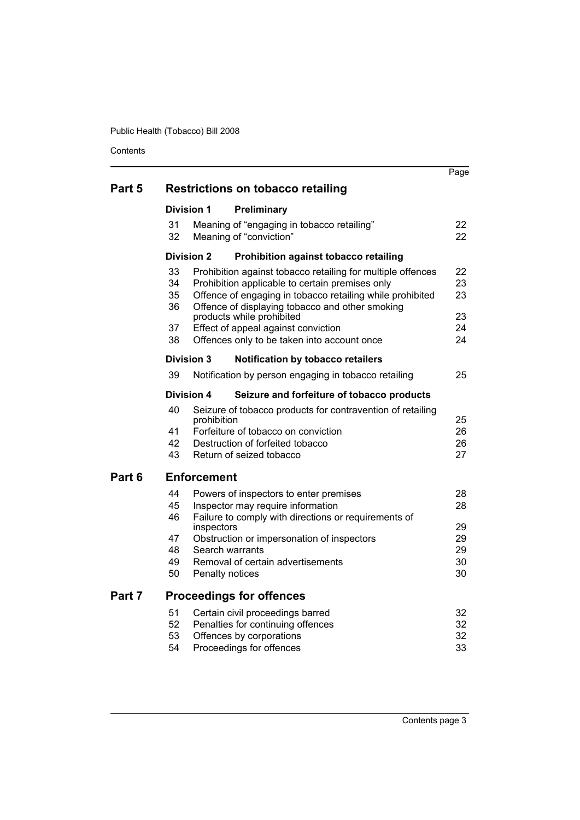|        |                                  |                                   |                                                                                                                                                                                                                                                                                                                                                   | Page                             |
|--------|----------------------------------|-----------------------------------|---------------------------------------------------------------------------------------------------------------------------------------------------------------------------------------------------------------------------------------------------------------------------------------------------------------------------------------------------|----------------------------------|
| Part 5 |                                  |                                   | <b>Restrictions on tobacco retailing</b>                                                                                                                                                                                                                                                                                                          |                                  |
|        | <b>Division 1</b>                |                                   | Preliminary                                                                                                                                                                                                                                                                                                                                       |                                  |
|        | 31<br>32                         |                                   | Meaning of "engaging in tobacco retailing"<br>Meaning of "conviction"                                                                                                                                                                                                                                                                             | 22<br>22                         |
|        | <b>Division 2</b>                |                                   | Prohibition against tobacco retailing                                                                                                                                                                                                                                                                                                             |                                  |
|        | 33<br>34<br>35<br>36<br>37<br>38 |                                   | Prohibition against tobacco retailing for multiple offences<br>Prohibition applicable to certain premises only<br>Offence of engaging in tobacco retailing while prohibited<br>Offence of displaying tobacco and other smoking<br>products while prohibited<br>Effect of appeal against conviction<br>Offences only to be taken into account once | 22<br>23<br>23<br>23<br>24<br>24 |
|        | Division 3                       |                                   | <b>Notification by tobacco retailers</b>                                                                                                                                                                                                                                                                                                          |                                  |
|        | 39                               |                                   | Notification by person engaging in tobacco retailing                                                                                                                                                                                                                                                                                              | 25                               |
|        | Division 4                       |                                   | Seizure and forfeiture of tobacco products                                                                                                                                                                                                                                                                                                        |                                  |
| Part 6 | 40<br>41<br>42<br>43             | prohibition<br><b>Enforcement</b> | Seizure of tobacco products for contravention of retailing<br>Forfeiture of tobacco on conviction<br>Destruction of forfeited tobacco<br>Return of seized tobacco                                                                                                                                                                                 | 25<br>26<br>26<br>27             |
|        |                                  |                                   |                                                                                                                                                                                                                                                                                                                                                   |                                  |
|        | 44<br>45                         |                                   | Powers of inspectors to enter premises<br>Inspector may require information                                                                                                                                                                                                                                                                       | 28<br>28                         |
|        | 46<br>47<br>48<br>49<br>50       | inspectors                        | Failure to comply with directions or requirements of<br>Obstruction or impersonation of inspectors<br>Search warrants<br>Removal of certain advertisements<br>Penalty notices                                                                                                                                                                     | 29<br>29<br>29<br>30<br>30       |
| Part 7 |                                  |                                   | <b>Proceedings for offences</b>                                                                                                                                                                                                                                                                                                                   |                                  |
|        | 51<br>52<br>53<br>54             |                                   | Certain civil proceedings barred<br>Penalties for continuing offences<br>Offences by corporations<br>Proceedings for offences                                                                                                                                                                                                                     | 32<br>32<br>32<br>33             |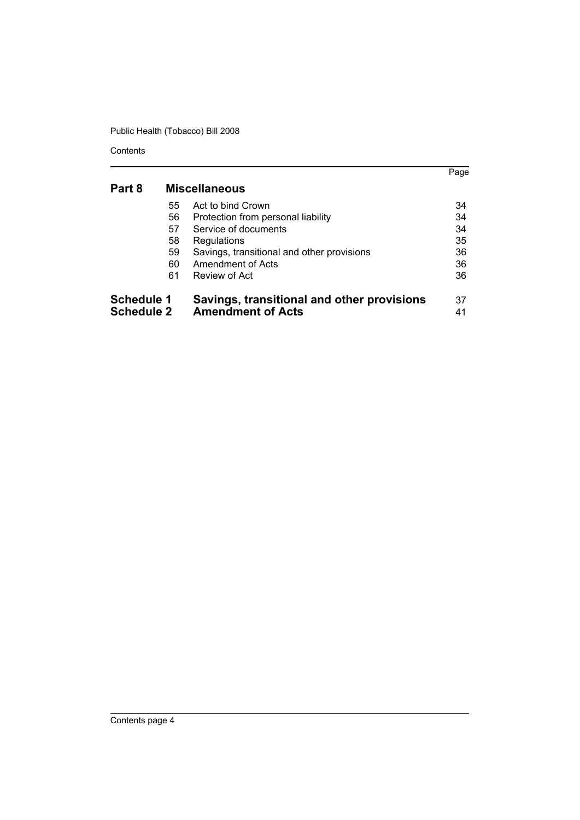|                   |    |                                            | Page |
|-------------------|----|--------------------------------------------|------|
| Part 8            |    | <b>Miscellaneous</b>                       |      |
|                   | 55 | Act to bind Crown                          | 34   |
|                   | 56 | Protection from personal liability         | 34   |
|                   | 57 | Service of documents                       | 34   |
|                   | 58 | Regulations                                | 35   |
|                   | 59 | Savings, transitional and other provisions | 36   |
|                   | 60 | Amendment of Acts                          | 36   |
|                   | 61 | Review of Act                              | 36   |
| <b>Schedule 1</b> |    | Savings, transitional and other provisions | 37   |
| <b>Schedule 2</b> |    | <b>Amendment of Acts</b>                   | 41   |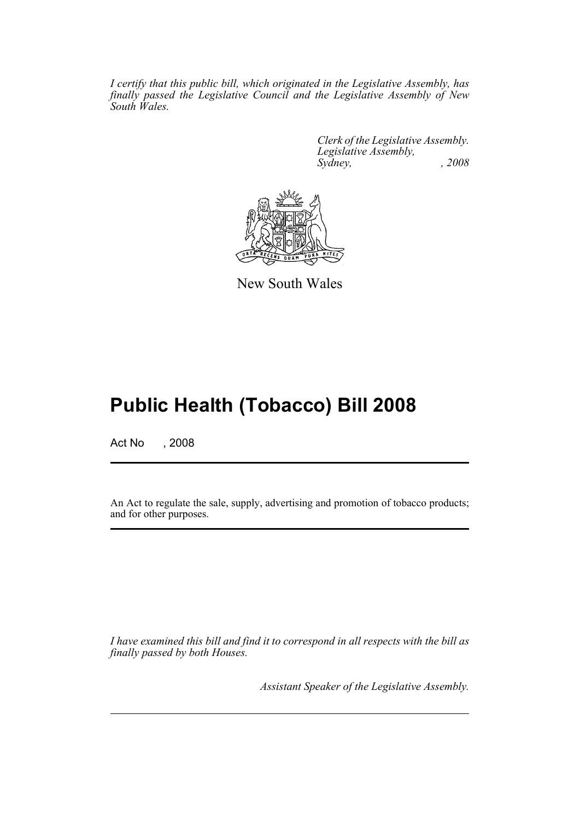*I certify that this public bill, which originated in the Legislative Assembly, has finally passed the Legislative Council and the Legislative Assembly of New South Wales.*

> *Clerk of the Legislative Assembly. Legislative Assembly, Sydney, , 2008*



New South Wales

# **Public Health (Tobacco) Bill 2008**

Act No , 2008

An Act to regulate the sale, supply, advertising and promotion of tobacco products; and for other purposes.

*I have examined this bill and find it to correspond in all respects with the bill as finally passed by both Houses.*

*Assistant Speaker of the Legislative Assembly.*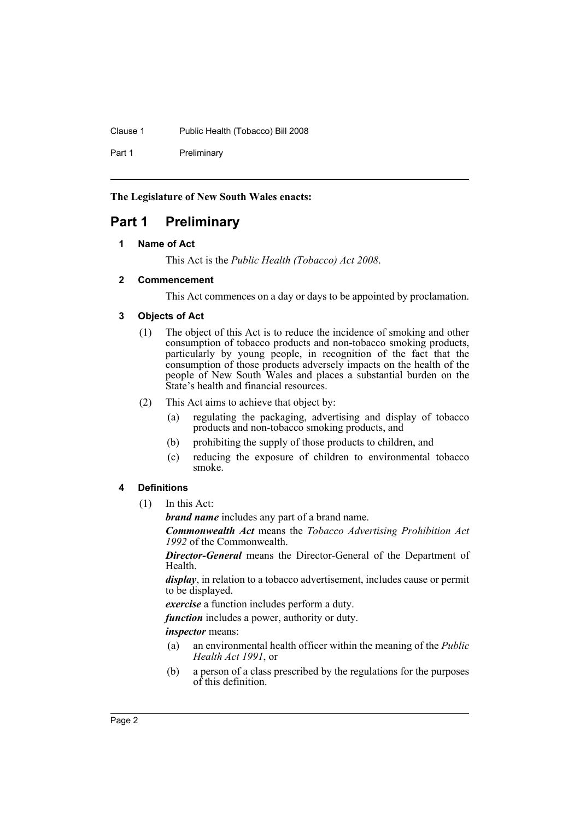Clause 1 Public Health (Tobacco) Bill 2008

Part 1 Preliminary

**The Legislature of New South Wales enacts:**

# <span id="page-5-1"></span><span id="page-5-0"></span>**Part 1 Preliminary**

# **1 Name of Act**

This Act is the *Public Health (Tobacco) Act 2008*.

### <span id="page-5-2"></span>**2 Commencement**

This Act commences on a day or days to be appointed by proclamation.

# <span id="page-5-3"></span>**3 Objects of Act**

- (1) The object of this Act is to reduce the incidence of smoking and other consumption of tobacco products and non-tobacco smoking products, particularly by young people, in recognition of the fact that the consumption of those products adversely impacts on the health of the people of New South Wales and places a substantial burden on the State's health and financial resources.
- (2) This Act aims to achieve that object by:
	- (a) regulating the packaging, advertising and display of tobacco products and non-tobacco smoking products, and
	- (b) prohibiting the supply of those products to children, and
	- (c) reducing the exposure of children to environmental tobacco smoke.

# <span id="page-5-4"></span>**4 Definitions**

(1) In this Act:

*brand name* includes any part of a brand name.

*Commonwealth Act* means the *Tobacco Advertising Prohibition Act 1992* of the Commonwealth.

*Director-General* means the Director-General of the Department of Health.

*display*, in relation to a tobacco advertisement, includes cause or permit to be displayed.

*exercise* a function includes perform a duty.

*function* includes a power, authority or duty.

*inspector* means:

- (a) an environmental health officer within the meaning of the *Public Health Act 1991*, or
- (b) a person of a class prescribed by the regulations for the purposes of this definition.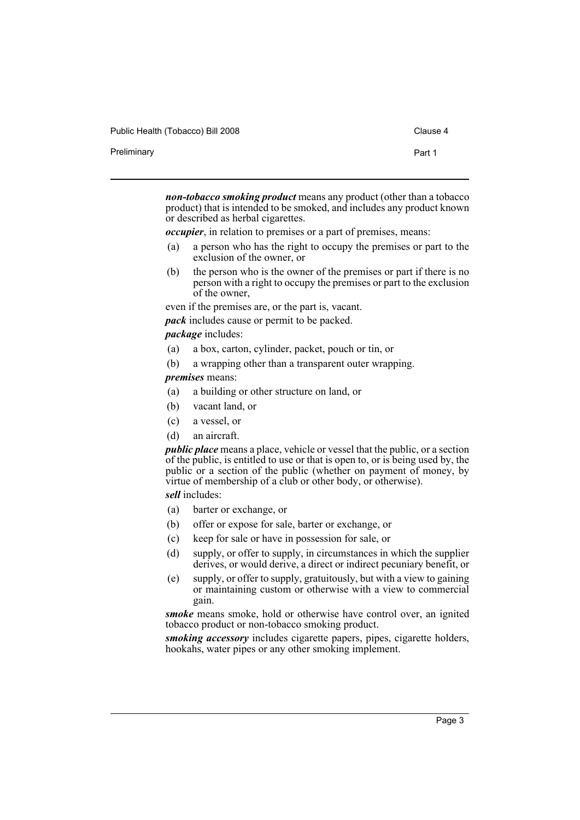| Public Health (Tobacco) Bill 2008 | Clause 4 |
|-----------------------------------|----------|
| Preliminary                       | Part 1   |

*non-tobacco smoking product* means any product (other than a tobacco product) that is intended to be smoked, and includes any product known or described as herbal cigarettes.

*occupier*, in relation to premises or a part of premises, means:

- (a) a person who has the right to occupy the premises or part to the exclusion of the owner, or
- (b) the person who is the owner of the premises or part if there is no person with a right to occupy the premises or part to the exclusion of the owner,

even if the premises are, or the part is, vacant.

*pack* includes cause or permit to be packed.

*package* includes:

- (a) a box, carton, cylinder, packet, pouch or tin, or
- (b) a wrapping other than a transparent outer wrapping.

# *premises* means:

- (a) a building or other structure on land, or
- (b) vacant land, or
- (c) a vessel, or
- (d) an aircraft.

*public place* means a place, vehicle or vessel that the public, or a section of the public, is entitled to use or that is open to, or is being used by, the public or a section of the public (whether on payment of money, by virtue of membership of a club or other body, or otherwise).

*sell* includes:

- (a) barter or exchange, or
- (b) offer or expose for sale, barter or exchange, or
- (c) keep for sale or have in possession for sale, or
- (d) supply, or offer to supply, in circumstances in which the supplier derives, or would derive, a direct or indirect pecuniary benefit, or
- (e) supply, or offer to supply, gratuitously, but with a view to gaining or maintaining custom or otherwise with a view to commercial gain.

*smoke* means smoke, hold or otherwise have control over, an ignited tobacco product or non-tobacco smoking product.

*smoking accessory* includes cigarette papers, pipes, cigarette holders, hookahs, water pipes or any other smoking implement.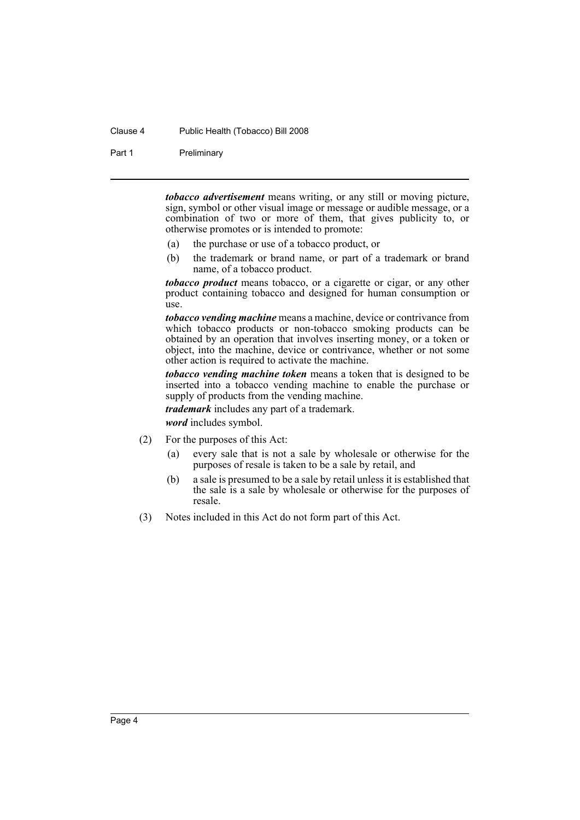#### Clause 4 Public Health (Tobacco) Bill 2008

Part 1 Preliminary

*tobacco advertisement* means writing, or any still or moving picture, sign, symbol or other visual image or message or audible message, or a combination of two or more of them, that gives publicity to, or otherwise promotes or is intended to promote:

- (a) the purchase or use of a tobacco product, or
- (b) the trademark or brand name, or part of a trademark or brand name, of a tobacco product.

*tobacco product* means tobacco, or a cigarette or cigar, or any other product containing tobacco and designed for human consumption or  $\bar{u}$ 

*tobacco vending machine* means a machine, device or contrivance from which tobacco products or non-tobacco smoking products can be obtained by an operation that involves inserting money, or a token or object, into the machine, device or contrivance, whether or not some other action is required to activate the machine.

*tobacco vending machine token* means a token that is designed to be inserted into a tobacco vending machine to enable the purchase or supply of products from the vending machine.

*trademark* includes any part of a trademark.

*word* includes symbol.

- (2) For the purposes of this Act:
	- (a) every sale that is not a sale by wholesale or otherwise for the purposes of resale is taken to be a sale by retail, and
	- (b) a sale is presumed to be a sale by retail unless it is established that the sale is a sale by wholesale or otherwise for the purposes of resale.
- (3) Notes included in this Act do not form part of this Act.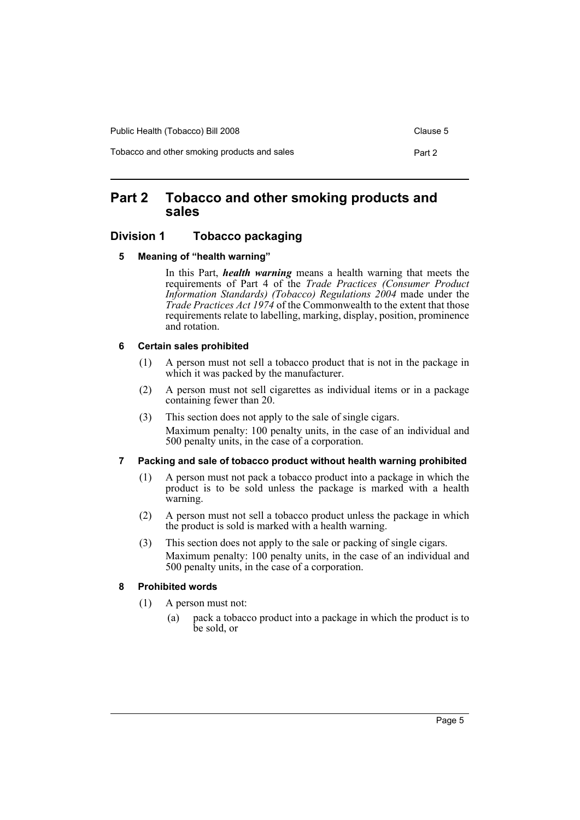Public Health (Tobacco) Bill 2008 Clause 5

Tobacco and other smoking products and sales **Part 2** Part 2

# <span id="page-8-0"></span>**Part 2 Tobacco and other smoking products and sales**

# <span id="page-8-2"></span><span id="page-8-1"></span>**Division 1 Tobacco packaging**

#### **5 Meaning of "health warning"**

In this Part, *health warning* means a health warning that meets the requirements of Part 4 of the *Trade Practices (Consumer Product Information Standards) (Tobacco) Regulations 2004* made under the *Trade Practices Act 1974* of the Commonwealth to the extent that those requirements relate to labelling, marking, display, position, prominence and rotation.

### <span id="page-8-3"></span>**6 Certain sales prohibited**

- (1) A person must not sell a tobacco product that is not in the package in which it was packed by the manufacturer.
- (2) A person must not sell cigarettes as individual items or in a package containing fewer than 20.
- (3) This section does not apply to the sale of single cigars. Maximum penalty: 100 penalty units, in the case of an individual and 500 penalty units, in the case of a corporation.

# <span id="page-8-4"></span>**7 Packing and sale of tobacco product without health warning prohibited**

- (1) A person must not pack a tobacco product into a package in which the product is to be sold unless the package is marked with a health warning.
- (2) A person must not sell a tobacco product unless the package in which the product is sold is marked with a health warning.
- (3) This section does not apply to the sale or packing of single cigars. Maximum penalty: 100 penalty units, in the case of an individual and 500 penalty units, in the case of a corporation.

# <span id="page-8-5"></span>**8 Prohibited words**

- (1) A person must not:
	- (a) pack a tobacco product into a package in which the product is to be sold, or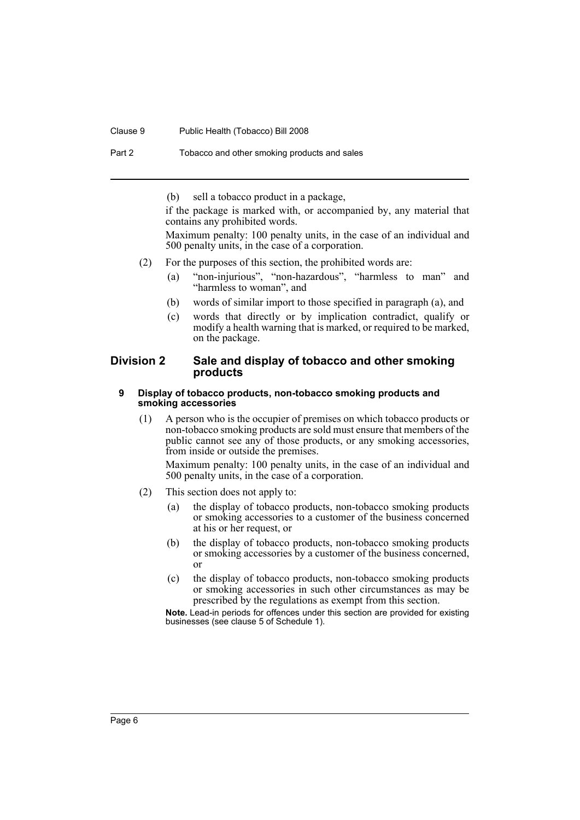#### Clause 9 Public Health (Tobacco) Bill 2008

Part 2 Tobacco and other smoking products and sales

(b) sell a tobacco product in a package,

if the package is marked with, or accompanied by, any material that contains any prohibited words.

Maximum penalty: 100 penalty units, in the case of an individual and 500 penalty units, in the case of a corporation.

- (2) For the purposes of this section, the prohibited words are:
	- (a) "non-injurious", "non-hazardous", "harmless to man" and "harmless to woman", and
	- (b) words of similar import to those specified in paragraph (a), and
	- (c) words that directly or by implication contradict, qualify or modify a health warning that is marked, or required to be marked, on the package.

# <span id="page-9-0"></span>**Division 2 Sale and display of tobacco and other smoking products**

#### <span id="page-9-1"></span>**9 Display of tobacco products, non-tobacco smoking products and smoking accessories**

(1) A person who is the occupier of premises on which tobacco products or non-tobacco smoking products are sold must ensure that members of the public cannot see any of those products, or any smoking accessories, from inside or outside the premises.

Maximum penalty: 100 penalty units, in the case of an individual and 500 penalty units, in the case of a corporation.

- (2) This section does not apply to:
	- (a) the display of tobacco products, non-tobacco smoking products or smoking accessories to a customer of the business concerned at his or her request, or
	- (b) the display of tobacco products, non-tobacco smoking products or smoking accessories by a customer of the business concerned, or
	- (c) the display of tobacco products, non-tobacco smoking products or smoking accessories in such other circumstances as may be prescribed by the regulations as exempt from this section.

**Note.** Lead-in periods for offences under this section are provided for existing businesses (see clause 5 of Schedule 1).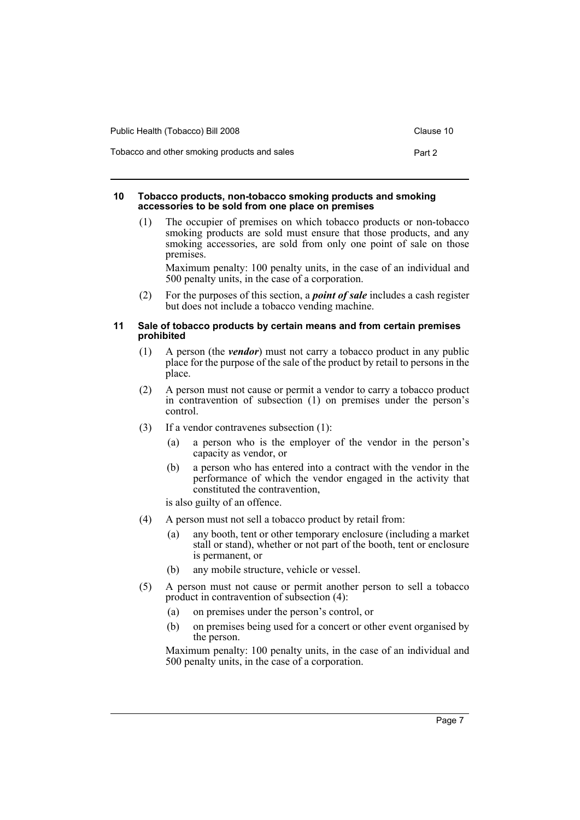| Public Health (Tobacco) Bill 2008            | Clause 10 |
|----------------------------------------------|-----------|
| Tobacco and other smoking products and sales | Part 2    |

#### <span id="page-10-0"></span>**10 Tobacco products, non-tobacco smoking products and smoking accessories to be sold from one place on premises**

(1) The occupier of premises on which tobacco products or non-tobacco smoking products are sold must ensure that those products, and any smoking accessories, are sold from only one point of sale on those premises.

Maximum penalty: 100 penalty units, in the case of an individual and 500 penalty units, in the case of a corporation.

(2) For the purposes of this section, a *point of sale* includes a cash register but does not include a tobacco vending machine.

#### <span id="page-10-1"></span>**11 Sale of tobacco products by certain means and from certain premises prohibited**

- (1) A person (the *vendor*) must not carry a tobacco product in any public place for the purpose of the sale of the product by retail to persons in the place.
- (2) A person must not cause or permit a vendor to carry a tobacco product in contravention of subsection (1) on premises under the person's control.
- (3) If a vendor contravenes subsection (1):
	- (a) a person who is the employer of the vendor in the person's capacity as vendor, or
	- (b) a person who has entered into a contract with the vendor in the performance of which the vendor engaged in the activity that constituted the contravention,

is also guilty of an offence.

- (4) A person must not sell a tobacco product by retail from:
	- (a) any booth, tent or other temporary enclosure (including a market stall or stand), whether or not part of the booth, tent or enclosure is permanent, or
	- (b) any mobile structure, vehicle or vessel.
- (5) A person must not cause or permit another person to sell a tobacco product in contravention of subsection (4):
	- (a) on premises under the person's control, or
	- (b) on premises being used for a concert or other event organised by the person.

Maximum penalty: 100 penalty units, in the case of an individual and 500 penalty units, in the case of a corporation.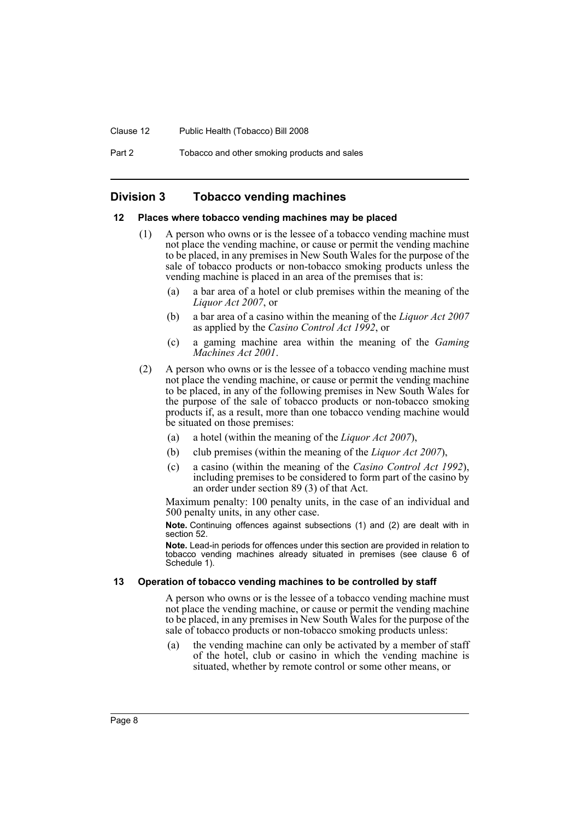#### Clause 12 Public Health (Tobacco) Bill 2008

Part 2 Tobacco and other smoking products and sales

# <span id="page-11-0"></span>**Division 3 Tobacco vending machines**

#### <span id="page-11-1"></span>**12 Places where tobacco vending machines may be placed**

- (1) A person who owns or is the lessee of a tobacco vending machine must not place the vending machine, or cause or permit the vending machine to be placed, in any premises in New South Wales for the purpose of the sale of tobacco products or non-tobacco smoking products unless the vending machine is placed in an area of the premises that is:
	- (a) a bar area of a hotel or club premises within the meaning of the *Liquor Act 2007*, or
	- (b) a bar area of a casino within the meaning of the *Liquor Act 2007* as applied by the *Casino Control Act 1992*, or
	- (c) a gaming machine area within the meaning of the *Gaming Machines Act 2001*.
- (2) A person who owns or is the lessee of a tobacco vending machine must not place the vending machine, or cause or permit the vending machine to be placed, in any of the following premises in New South Wales for the purpose of the sale of tobacco products or non-tobacco smoking products if, as a result, more than one tobacco vending machine would be situated on those premises:
	- (a) a hotel (within the meaning of the *Liquor Act 2007*),
	- (b) club premises (within the meaning of the *Liquor Act 2007*),
	- (c) a casino (within the meaning of the *Casino Control Act 1992*), including premises to be considered to form part of the casino by an order under section 89 (3) of that Act.

Maximum penalty: 100 penalty units, in the case of an individual and 500 penalty units, in any other case.

**Note.** Continuing offences against subsections (1) and (2) are dealt with in section 52.

**Note.** Lead-in periods for offences under this section are provided in relation to tobacco vending machines already situated in premises (see clause 6 of Schedule 1).

#### <span id="page-11-2"></span>**13 Operation of tobacco vending machines to be controlled by staff**

A person who owns or is the lessee of a tobacco vending machine must not place the vending machine, or cause or permit the vending machine to be placed, in any premises in New South Wales for the purpose of the sale of tobacco products or non-tobacco smoking products unless:

(a) the vending machine can only be activated by a member of staff of the hotel, club or casino in which the vending machine is situated, whether by remote control or some other means, or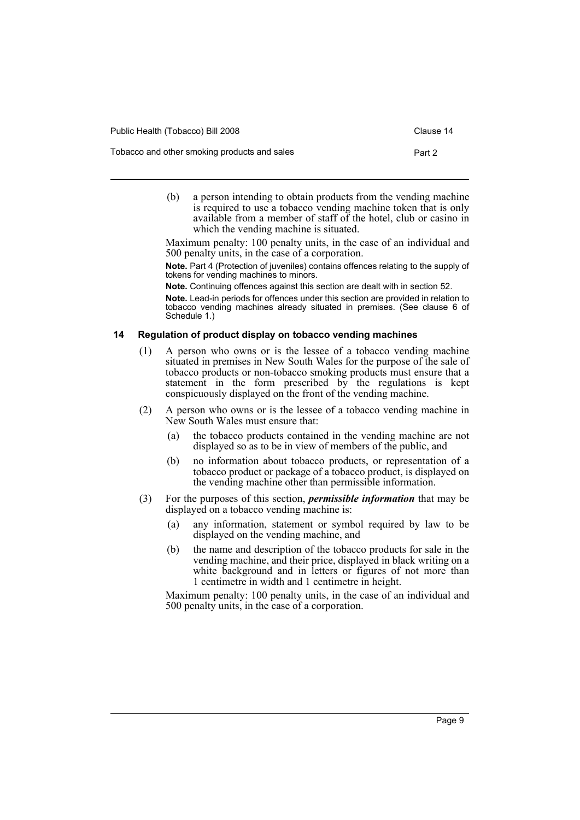| Public Health (Tobacco) Bill 2008            | Clause 14 |
|----------------------------------------------|-----------|
| Tobacco and other smoking products and sales | Part 2    |

(b) a person intending to obtain products from the vending machine is required to use a tobacco vending machine token that is only available from a member of staff of the hotel, club or casino in which the vending machine is situated.

Maximum penalty: 100 penalty units, in the case of an individual and 500 penalty units, in the case of a corporation.

**Note.** Part 4 (Protection of juveniles) contains offences relating to the supply of tokens for vending machines to minors.

**Note.** Continuing offences against this section are dealt with in section 52.

**Note.** Lead-in periods for offences under this section are provided in relation to tobacco vending machines already situated in premises. (See clause 6 of Schedule 1.)

### <span id="page-12-0"></span>**14 Regulation of product display on tobacco vending machines**

- (1) A person who owns or is the lessee of a tobacco vending machine situated in premises in New South Wales for the purpose of the sale of tobacco products or non-tobacco smoking products must ensure that a statement in the form prescribed by the regulations is kept conspicuously displayed on the front of the vending machine.
- (2) A person who owns or is the lessee of a tobacco vending machine in New South Wales must ensure that:
	- (a) the tobacco products contained in the vending machine are not displayed so as to be in view of members of the public, and
	- (b) no information about tobacco products, or representation of a tobacco product or package of a tobacco product, is displayed on the vending machine other than permissible information.
- (3) For the purposes of this section, *permissible information* that may be displayed on a tobacco vending machine is:
	- (a) any information, statement or symbol required by law to be displayed on the vending machine, and
	- (b) the name and description of the tobacco products for sale in the vending machine, and their price, displayed in black writing on a white background and in letters or figures of not more than 1 centimetre in width and 1 centimetre in height.

Maximum penalty: 100 penalty units, in the case of an individual and 500 penalty units, in the case of a corporation.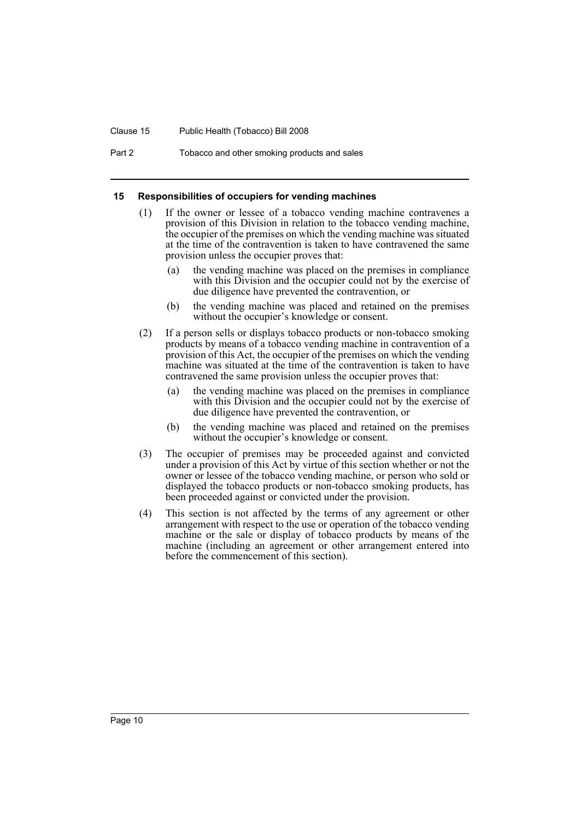#### Clause 15 Public Health (Tobacco) Bill 2008

Part 2 Tobacco and other smoking products and sales

#### <span id="page-13-0"></span>**15 Responsibilities of occupiers for vending machines**

- (1) If the owner or lessee of a tobacco vending machine contravenes a provision of this Division in relation to the tobacco vending machine, the occupier of the premises on which the vending machine was situated at the time of the contravention is taken to have contravened the same provision unless the occupier proves that:
	- (a) the vending machine was placed on the premises in compliance with this Division and the occupier could not by the exercise of due diligence have prevented the contravention, or
	- (b) the vending machine was placed and retained on the premises without the occupier's knowledge or consent.
- (2) If a person sells or displays tobacco products or non-tobacco smoking products by means of a tobacco vending machine in contravention of a provision of this Act, the occupier of the premises on which the vending machine was situated at the time of the contravention is taken to have contravened the same provision unless the occupier proves that:
	- (a) the vending machine was placed on the premises in compliance with this Division and the occupier could not by the exercise of due diligence have prevented the contravention, or
	- (b) the vending machine was placed and retained on the premises without the occupier's knowledge or consent.
- (3) The occupier of premises may be proceeded against and convicted under a provision of this Act by virtue of this section whether or not the owner or lessee of the tobacco vending machine, or person who sold or displayed the tobacco products or non-tobacco smoking products, has been proceeded against or convicted under the provision.
- (4) This section is not affected by the terms of any agreement or other arrangement with respect to the use or operation of the tobacco vending machine or the sale or display of tobacco products by means of the machine (including an agreement or other arrangement entered into before the commencement of this section).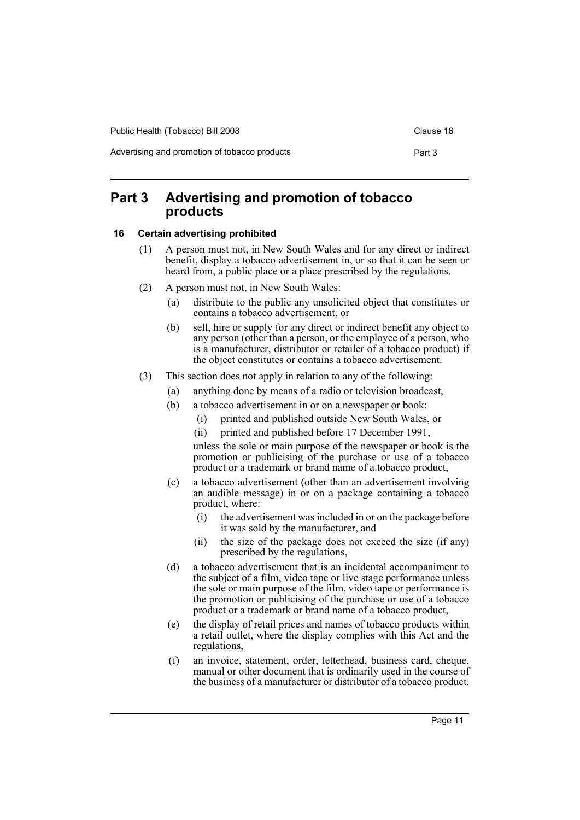Advertising and promotion of tobacco products **Part 3** 

# <span id="page-14-0"></span>**Part 3 Advertising and promotion of tobacco products**

### <span id="page-14-1"></span>**16 Certain advertising prohibited**

- (1) A person must not, in New South Wales and for any direct or indirect benefit, display a tobacco advertisement in, or so that it can be seen or heard from, a public place or a place prescribed by the regulations.
- (2) A person must not, in New South Wales:
	- (a) distribute to the public any unsolicited object that constitutes or contains a tobacco advertisement, or
	- (b) sell, hire or supply for any direct or indirect benefit any object to any person (other than a person, or the employee of a person, who is a manufacturer, distributor or retailer of a tobacco product) if the object constitutes or contains a tobacco advertisement.
- (3) This section does not apply in relation to any of the following:
	- (a) anything done by means of a radio or television broadcast,
	- (b) a tobacco advertisement in or on a newspaper or book:
		- (i) printed and published outside New South Wales, or
		- (ii) printed and published before 17 December 1991,

unless the sole or main purpose of the newspaper or book is the promotion or publicising of the purchase or use of a tobacco product or a trademark or brand name of a tobacco product,

- (c) a tobacco advertisement (other than an advertisement involving an audible message) in or on a package containing a tobacco product, where:
	- (i) the advertisement was included in or on the package before it was sold by the manufacturer, and
	- (ii) the size of the package does not exceed the size (if any) prescribed by the regulations,
- (d) a tobacco advertisement that is an incidental accompaniment to the subject of a film, video tape or live stage performance unless the sole or main purpose of the film, video tape or performance is the promotion or publicising of the purchase or use of a tobacco product or a trademark or brand name of a tobacco product,
- (e) the display of retail prices and names of tobacco products within a retail outlet, where the display complies with this Act and the regulations,
- (f) an invoice, statement, order, letterhead, business card, cheque, manual or other document that is ordinarily used in the course of the business of a manufacturer or distributor of a tobacco product.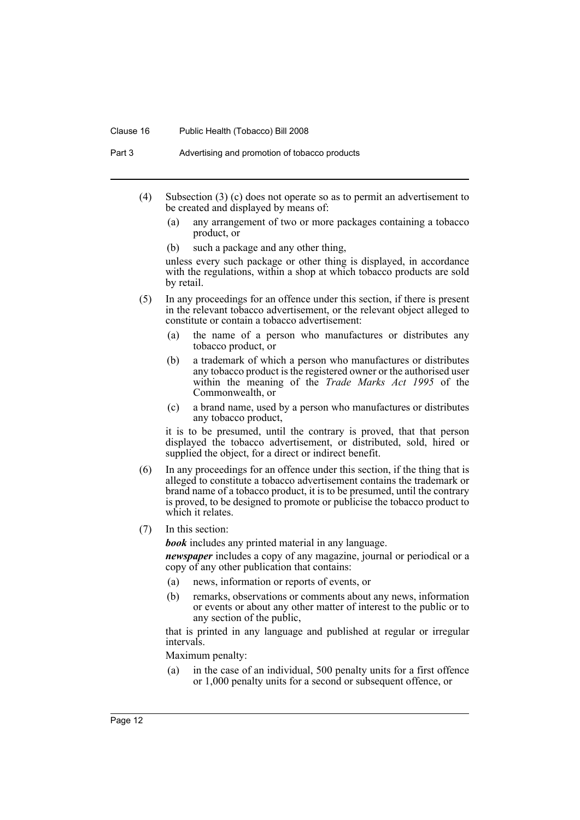#### Clause 16 Public Health (Tobacco) Bill 2008

Part 3 Advertising and promotion of tobacco products

- (4) Subsection (3) (c) does not operate so as to permit an advertisement to be created and displayed by means of:
	- (a) any arrangement of two or more packages containing a tobacco product, or
	- (b) such a package and any other thing,

unless every such package or other thing is displayed, in accordance with the regulations, within a shop at which tobacco products are sold by retail.

- (5) In any proceedings for an offence under this section, if there is present in the relevant tobacco advertisement, or the relevant object alleged to constitute or contain a tobacco advertisement:
	- (a) the name of a person who manufactures or distributes any tobacco product, or
	- (b) a trademark of which a person who manufactures or distributes any tobacco product is the registered owner or the authorised user within the meaning of the *Trade Marks Act 1995* of the Commonwealth, or
	- (c) a brand name, used by a person who manufactures or distributes any tobacco product,

it is to be presumed, until the contrary is proved, that that person displayed the tobacco advertisement, or distributed, sold, hired or supplied the object, for a direct or indirect benefit.

- (6) In any proceedings for an offence under this section, if the thing that is alleged to constitute a tobacco advertisement contains the trademark or brand name of a tobacco product, it is to be presumed, until the contrary is proved, to be designed to promote or publicise the tobacco product to which it relates.
- (7) In this section:

*book* includes any printed material in any language.

*newspaper* includes a copy of any magazine, journal or periodical or a copy of any other publication that contains:

- (a) news, information or reports of events, or
- (b) remarks, observations or comments about any news, information or events or about any other matter of interest to the public or to any section of the public,

that is printed in any language and published at regular or irregular intervals.

Maximum penalty:

(a) in the case of an individual, 500 penalty units for a first offence or 1,000 penalty units for a second or subsequent offence, or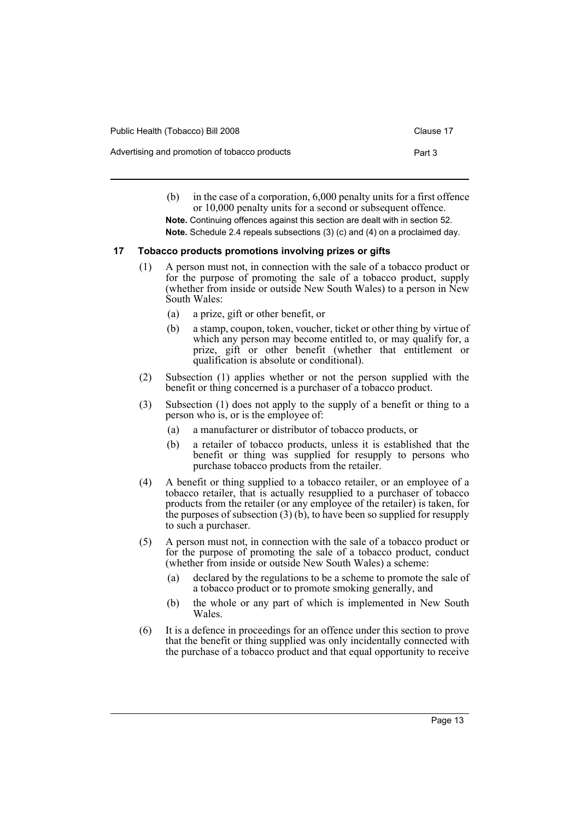| Public Health (Tobacco) Bill 2008             | Clause 17 |
|-----------------------------------------------|-----------|
| Advertising and promotion of tobacco products | Part 3    |

- (b) in the case of a corporation, 6,000 penalty units for a first offence or 10,000 penalty units for a second or subsequent offence.
- **Note.** Continuing offences against this section are dealt with in section 52. **Note.** Schedule 2.4 repeals subsections (3) (c) and (4) on a proclaimed day.

# <span id="page-16-0"></span>**17 Tobacco products promotions involving prizes or gifts**

- (1) A person must not, in connection with the sale of a tobacco product or for the purpose of promoting the sale of a tobacco product, supply (whether from inside or outside New South Wales) to a person in New South Wales:
	- (a) a prize, gift or other benefit, or
	- (b) a stamp, coupon, token, voucher, ticket or other thing by virtue of which any person may become entitled to, or may qualify for, a prize, gift or other benefit (whether that entitlement or qualification is absolute or conditional).
- (2) Subsection (1) applies whether or not the person supplied with the benefit or thing concerned is a purchaser of a tobacco product.
- (3) Subsection (1) does not apply to the supply of a benefit or thing to a person who is, or is the employee of:
	- (a) a manufacturer or distributor of tobacco products, or
	- (b) a retailer of tobacco products, unless it is established that the benefit or thing was supplied for resupply to persons who purchase tobacco products from the retailer.
- (4) A benefit or thing supplied to a tobacco retailer, or an employee of a tobacco retailer, that is actually resupplied to a purchaser of tobacco products from the retailer (or any employee of the retailer) is taken, for the purposes of subsection  $(3)$  (b), to have been so supplied for resupply to such a purchaser.
- (5) A person must not, in connection with the sale of a tobacco product or for the purpose of promoting the sale of a tobacco product, conduct (whether from inside or outside New South Wales) a scheme:
	- (a) declared by the regulations to be a scheme to promote the sale of a tobacco product or to promote smoking generally, and
	- (b) the whole or any part of which is implemented in New South **Wales**
- (6) It is a defence in proceedings for an offence under this section to prove that the benefit or thing supplied was only incidentally connected with the purchase of a tobacco product and that equal opportunity to receive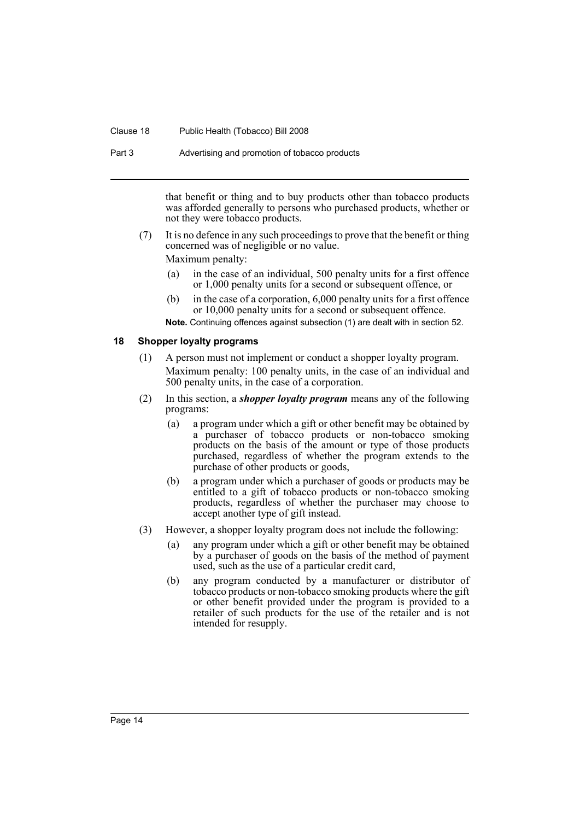#### Clause 18 Public Health (Tobacco) Bill 2008

Part 3 Advertising and promotion of tobacco products

that benefit or thing and to buy products other than tobacco products was afforded generally to persons who purchased products, whether or not they were tobacco products.

(7) It is no defence in any such proceedings to prove that the benefit or thing concerned was of negligible or no value.

Maximum penalty:

- (a) in the case of an individual, 500 penalty units for a first offence or 1,000 penalty units for a second or subsequent offence, or
- (b) in the case of a corporation, 6,000 penalty units for a first offence or 10,000 penalty units for a second or subsequent offence.

**Note.** Continuing offences against subsection (1) are dealt with in section 52.

#### <span id="page-17-0"></span>**18 Shopper loyalty programs**

- (1) A person must not implement or conduct a shopper loyalty program. Maximum penalty: 100 penalty units, in the case of an individual and 500 penalty units, in the case of a corporation.
- (2) In this section, a *shopper loyalty program* means any of the following programs:
	- (a) a program under which a gift or other benefit may be obtained by a purchaser of tobacco products or non-tobacco smoking products on the basis of the amount or type of those products purchased, regardless of whether the program extends to the purchase of other products or goods,
	- (b) a program under which a purchaser of goods or products may be entitled to a gift of tobacco products or non-tobacco smoking products, regardless of whether the purchaser may choose to accept another type of gift instead.
- (3) However, a shopper loyalty program does not include the following:
	- (a) any program under which a gift or other benefit may be obtained by a purchaser of goods on the basis of the method of payment used, such as the use of a particular credit card,
	- (b) any program conducted by a manufacturer or distributor of tobacco products or non-tobacco smoking products where the gift or other benefit provided under the program is provided to a retailer of such products for the use of the retailer and is not intended for resupply.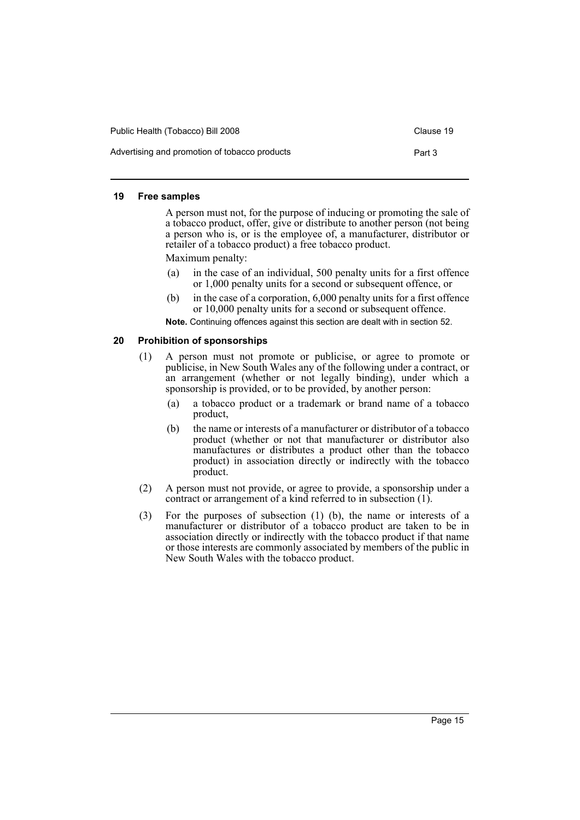| Public Health (Tobacco) Bill 2008             | Clause 19 |
|-----------------------------------------------|-----------|
| Advertising and promotion of tobacco products | Part 3    |

#### <span id="page-18-0"></span>**19 Free samples**

A person must not, for the purpose of inducing or promoting the sale of a tobacco product, offer, give or distribute to another person (not being a person who is, or is the employee of, a manufacturer, distributor or retailer of a tobacco product) a free tobacco product.

Maximum penalty:

- (a) in the case of an individual, 500 penalty units for a first offence or 1,000 penalty units for a second or subsequent offence, or
- (b) in the case of a corporation, 6,000 penalty units for a first offence or 10,000 penalty units for a second or subsequent offence.

**Note.** Continuing offences against this section are dealt with in section 52.

#### <span id="page-18-1"></span>**20 Prohibition of sponsorships**

- (1) A person must not promote or publicise, or agree to promote or publicise, in New South Wales any of the following under a contract, or an arrangement (whether or not legally binding), under which a sponsorship is provided, or to be provided, by another person:
	- (a) a tobacco product or a trademark or brand name of a tobacco product,
	- (b) the name or interests of a manufacturer or distributor of a tobacco product (whether or not that manufacturer or distributor also manufactures or distributes a product other than the tobacco product) in association directly or indirectly with the tobacco product.
- (2) A person must not provide, or agree to provide, a sponsorship under a contract or arrangement of a kind referred to in subsection (1).
- (3) For the purposes of subsection (1) (b), the name or interests of a manufacturer or distributor of a tobacco product are taken to be in association directly or indirectly with the tobacco product if that name or those interests are commonly associated by members of the public in New South Wales with the tobacco product.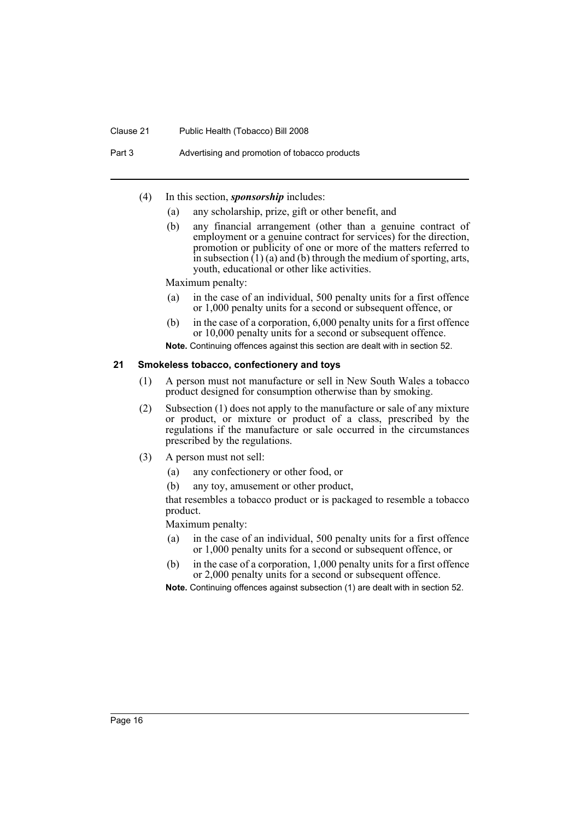#### Clause 21 Public Health (Tobacco) Bill 2008

Part 3 Advertising and promotion of tobacco products

- (4) In this section, *sponsorship* includes:
	- (a) any scholarship, prize, gift or other benefit, and
	- (b) any financial arrangement (other than a genuine contract of employment or a genuine contract for services) for the direction, promotion or publicity of one or more of the matters referred to in subsection  $(1)$  (a) and (b) through the medium of sporting, arts, youth, educational or other like activities.

Maximum penalty:

- (a) in the case of an individual, 500 penalty units for a first offence or 1,000 penalty units for a second or subsequent offence, or
- (b) in the case of a corporation, 6,000 penalty units for a first offence or 10,000 penalty units for a second or subsequent offence.

**Note.** Continuing offences against this section are dealt with in section 52.

#### <span id="page-19-0"></span>**21 Smokeless tobacco, confectionery and toys**

- (1) A person must not manufacture or sell in New South Wales a tobacco product designed for consumption otherwise than by smoking.
- (2) Subsection (1) does not apply to the manufacture or sale of any mixture or product, or mixture or product of a class, prescribed by the regulations if the manufacture or sale occurred in the circumstances prescribed by the regulations.
- (3) A person must not sell:
	- (a) any confectionery or other food, or
	- (b) any toy, amusement or other product,

that resembles a tobacco product or is packaged to resemble a tobacco product.

Maximum penalty:

- (a) in the case of an individual, 500 penalty units for a first offence or 1,000 penalty units for a second or subsequent offence, or
- (b) in the case of a corporation, 1,000 penalty units for a first offence or 2,000 penalty units for a second or subsequent offence.

**Note.** Continuing offences against subsection (1) are dealt with in section 52.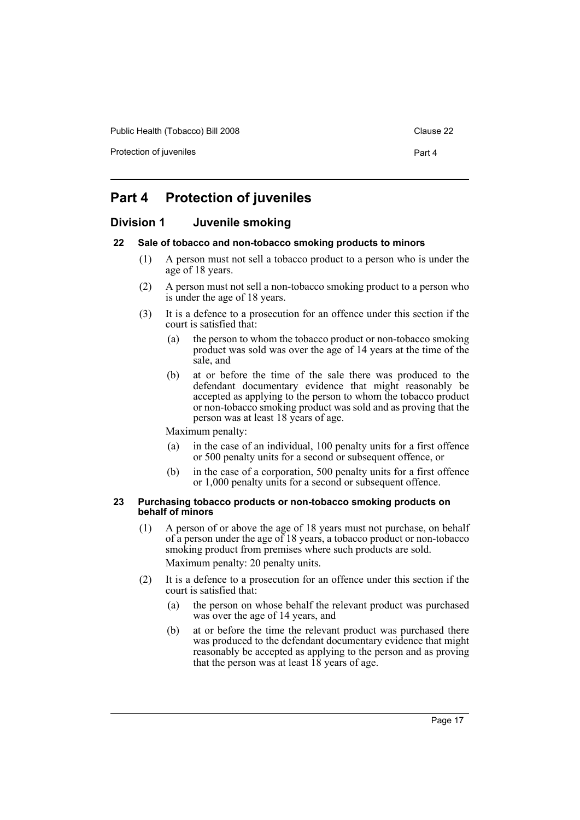Public Health (Tobacco) Bill 2008 Clause 22

Protection of juveniles **Protection** of  $\alpha$  Part 4

# <span id="page-20-0"></span>**Part 4 Protection of juveniles**

# <span id="page-20-1"></span>**Division 1 Juvenile smoking**

# <span id="page-20-2"></span>**22 Sale of tobacco and non-tobacco smoking products to minors**

- (1) A person must not sell a tobacco product to a person who is under the age of 18 years.
- (2) A person must not sell a non-tobacco smoking product to a person who is under the age of 18 years.
- (3) It is a defence to a prosecution for an offence under this section if the court is satisfied that:
	- (a) the person to whom the tobacco product or non-tobacco smoking product was sold was over the age of 14 years at the time of the sale, and
	- (b) at or before the time of the sale there was produced to the defendant documentary evidence that might reasonably be accepted as applying to the person to whom the tobacco product or non-tobacco smoking product was sold and as proving that the person was at least 18 years of age.

Maximum penalty:

- (a) in the case of an individual, 100 penalty units for a first offence or 500 penalty units for a second or subsequent offence, or
- (b) in the case of a corporation, 500 penalty units for a first offence or 1,000 penalty units for a second or subsequent offence.

#### <span id="page-20-3"></span>**23 Purchasing tobacco products or non-tobacco smoking products on behalf of minors**

- (1) A person of or above the age of 18 years must not purchase, on behalf of a person under the age of 18 years, a tobacco product or non-tobacco smoking product from premises where such products are sold. Maximum penalty: 20 penalty units.
- (2) It is a defence to a prosecution for an offence under this section if the court is satisfied that:
	- (a) the person on whose behalf the relevant product was purchased was over the age of 14 years, and
	- (b) at or before the time the relevant product was purchased there was produced to the defendant documentary evidence that might reasonably be accepted as applying to the person and as proving that the person was at least  $18$  years of age.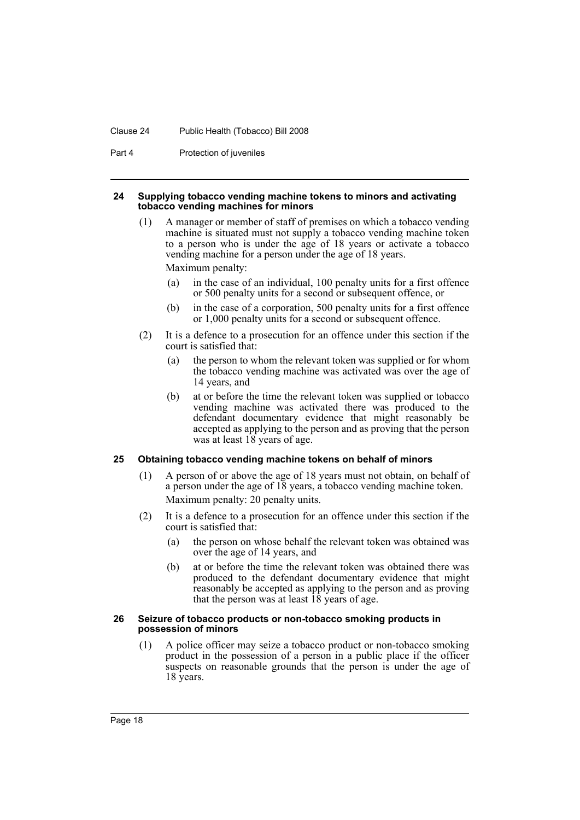#### Clause 24 Public Health (Tobacco) Bill 2008

Part 4 **Protection of juveniles** 

#### <span id="page-21-0"></span>**24 Supplying tobacco vending machine tokens to minors and activating tobacco vending machines for minors**

- (1) A manager or member of staff of premises on which a tobacco vending machine is situated must not supply a tobacco vending machine token to a person who is under the age of 18 years or activate a tobacco vending machine for a person under the age of 18 years. Maximum penalty:
	- (a) in the case of an individual, 100 penalty units for a first offence or 500 penalty units for a second or subsequent offence, or
	- (b) in the case of a corporation, 500 penalty units for a first offence or 1,000 penalty units for a second or subsequent offence.
- (2) It is a defence to a prosecution for an offence under this section if the court is satisfied that:
	- (a) the person to whom the relevant token was supplied or for whom the tobacco vending machine was activated was over the age of 14 years, and
	- (b) at or before the time the relevant token was supplied or tobacco vending machine was activated there was produced to the defendant documentary evidence that might reasonably be accepted as applying to the person and as proving that the person was at least 18 years of age.

#### <span id="page-21-1"></span>**25 Obtaining tobacco vending machine tokens on behalf of minors**

- (1) A person of or above the age of 18 years must not obtain, on behalf of a person under the age of 18 years, a tobacco vending machine token. Maximum penalty: 20 penalty units.
- (2) It is a defence to a prosecution for an offence under this section if the court is satisfied that:
	- (a) the person on whose behalf the relevant token was obtained was over the age of 14 years, and
	- (b) at or before the time the relevant token was obtained there was produced to the defendant documentary evidence that might reasonably be accepted as applying to the person and as proving that the person was at least 18 years of age.

#### <span id="page-21-2"></span>**26 Seizure of tobacco products or non-tobacco smoking products in possession of minors**

(1) A police officer may seize a tobacco product or non-tobacco smoking product in the possession of a person in a public place if the officer suspects on reasonable grounds that the person is under the age of 18 years.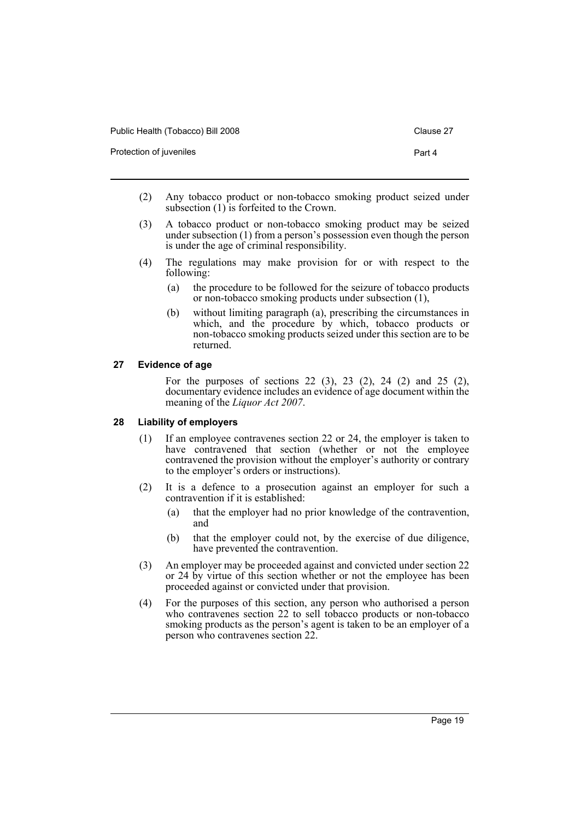| Public Health (Tobacco) Bill 2008 |  |
|-----------------------------------|--|
|                                   |  |

Clause 27

Protection of juveniles **Protection** of  $\mathbf{P}$  and  $\mathbf{A}$ 

- (2) Any tobacco product or non-tobacco smoking product seized under subsection  $(1)$  is forfeited to the Crown.
- (3) A tobacco product or non-tobacco smoking product may be seized under subsection (1) from a person's possession even though the person is under the age of criminal responsibility.
- (4) The regulations may make provision for or with respect to the following:
	- (a) the procedure to be followed for the seizure of tobacco products or non-tobacco smoking products under subsection (1),
	- (b) without limiting paragraph (a), prescribing the circumstances in which, and the procedure by which, tobacco products or non-tobacco smoking products seized under this section are to be returned.

# <span id="page-22-0"></span>**27 Evidence of age**

For the purposes of sections 22 (3), 23 (2), 24 (2) and 25 (2), documentary evidence includes an evidence of age document within the meaning of the *Liquor Act 2007*.

# <span id="page-22-1"></span>**28 Liability of employers**

- (1) If an employee contravenes section 22 or 24, the employer is taken to have contravened that section (whether or not the employee contravened the provision without the employer's authority or contrary to the employer's orders or instructions).
- (2) It is a defence to a prosecution against an employer for such a contravention if it is established:
	- (a) that the employer had no prior knowledge of the contravention, and
	- (b) that the employer could not, by the exercise of due diligence, have prevented the contravention.
- (3) An employer may be proceeded against and convicted under section 22 or 24 by virtue of this section whether or not the employee has been proceeded against or convicted under that provision.
- (4) For the purposes of this section, any person who authorised a person who contravenes section 22 to sell tobacco products or non-tobacco smoking products as the person's agent is taken to be an employer of a person who contravenes section 22.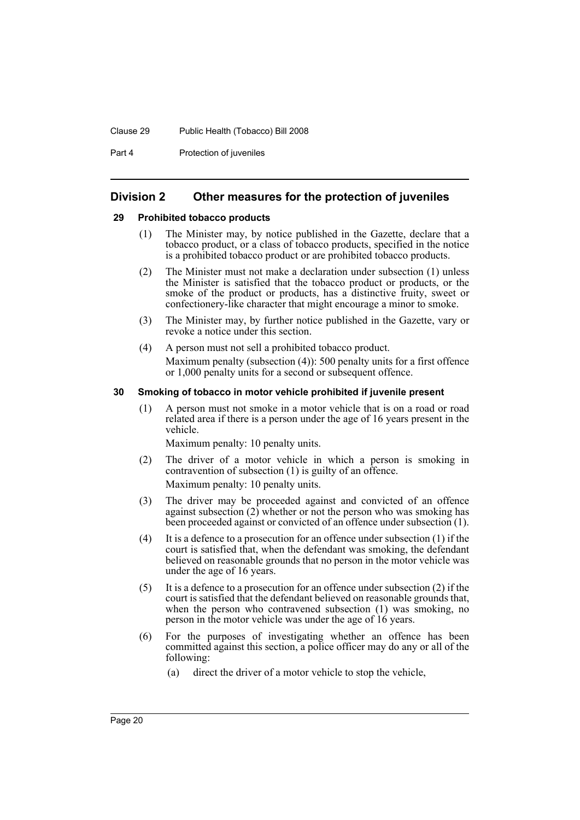#### Clause 29 Public Health (Tobacco) Bill 2008

Part 4 **Protection of juveniles** 

# <span id="page-23-0"></span>**Division 2 Other measures for the protection of juveniles**

#### <span id="page-23-1"></span>**29 Prohibited tobacco products**

- (1) The Minister may, by notice published in the Gazette, declare that a tobacco product, or a class of tobacco products, specified in the notice is a prohibited tobacco product or are prohibited tobacco products.
- (2) The Minister must not make a declaration under subsection (1) unless the Minister is satisfied that the tobacco product or products, or the smoke of the product or products, has a distinctive fruity, sweet or confectionery-like character that might encourage a minor to smoke.
- (3) The Minister may, by further notice published in the Gazette, vary or revoke a notice under this section.
- (4) A person must not sell a prohibited tobacco product. Maximum penalty (subsection (4)): 500 penalty units for a first offence or 1,000 penalty units for a second or subsequent offence.

#### <span id="page-23-2"></span>**30 Smoking of tobacco in motor vehicle prohibited if juvenile present**

(1) A person must not smoke in a motor vehicle that is on a road or road related area if there is a person under the age of 16 years present in the vehicle.

Maximum penalty: 10 penalty units.

- (2) The driver of a motor vehicle in which a person is smoking in contravention of subsection (1) is guilty of an offence. Maximum penalty: 10 penalty units.
- (3) The driver may be proceeded against and convicted of an offence against subsection  $(2)$  whether or not the person who was smoking has been proceeded against or convicted of an offence under subsection (1).
- (4) It is a defence to a prosecution for an offence under subsection (1) if the court is satisfied that, when the defendant was smoking, the defendant believed on reasonable grounds that no person in the motor vehicle was under the age of 16 years.
- (5) It is a defence to a prosecution for an offence under subsection (2) if the court is satisfied that the defendant believed on reasonable grounds that, when the person who contravened subsection (1) was smoking, no person in the motor vehicle was under the age of 16 years.
- (6) For the purposes of investigating whether an offence has been committed against this section, a police officer may do any or all of the following:
	- (a) direct the driver of a motor vehicle to stop the vehicle,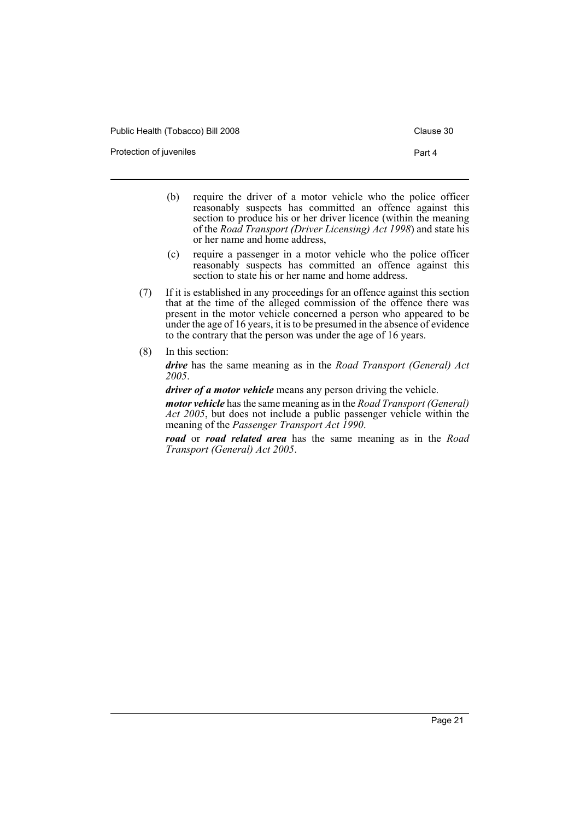Public Health (Tobacco) Bill 2008 Clause 30

Protection of juveniles **Protection** of  $\mathbf{P}$  and  $\mathbf{A}$ 

- (b) require the driver of a motor vehicle who the police officer reasonably suspects has committed an offence against this section to produce his or her driver licence (within the meaning of the *Road Transport (Driver Licensing) Act 1998*) and state his or her name and home address,
- (c) require a passenger in a motor vehicle who the police officer reasonably suspects has committed an offence against this section to state his or her name and home address.
- (7) If it is established in any proceedings for an offence against this section that at the time of the alleged commission of the offence there was present in the motor vehicle concerned a person who appeared to be under the age of 16 years, it is to be presumed in the absence of evidence to the contrary that the person was under the age of 16 years.
- (8) In this section:

*drive* has the same meaning as in the *Road Transport (General) Act 2005*.

*driver of a motor vehicle* means any person driving the vehicle.

*motor vehicle* has the same meaning as in the *Road Transport (General) Act 2005*, but does not include a public passenger vehicle within the meaning of the *Passenger Transport Act 1990*.

*road* or *road related area* has the same meaning as in the *Road Transport (General) Act 2005*.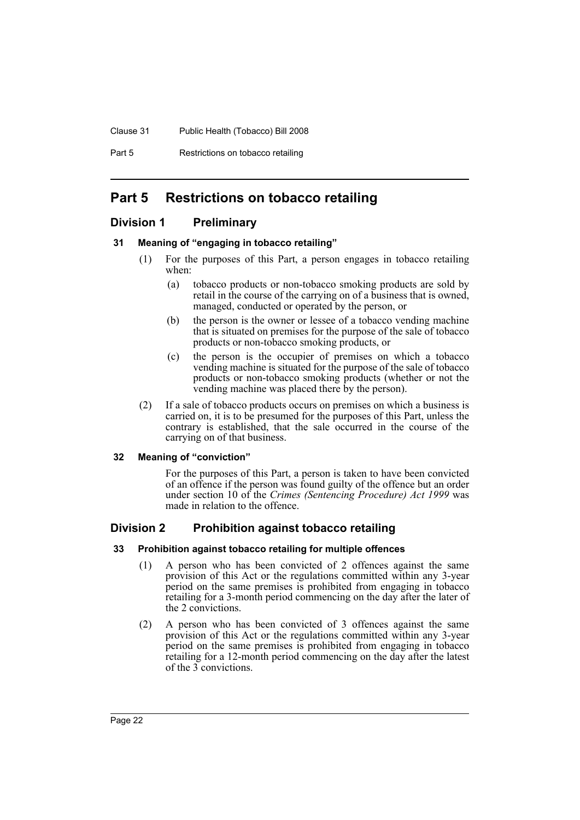#### Clause 31 Public Health (Tobacco) Bill 2008

Part 5 Restrictions on tobacco retailing

# <span id="page-25-0"></span>**Part 5 Restrictions on tobacco retailing**

# <span id="page-25-1"></span>**Division 1 Preliminary**

# <span id="page-25-2"></span>**31 Meaning of "engaging in tobacco retailing"**

- (1) For the purposes of this Part, a person engages in tobacco retailing when:
	- (a) tobacco products or non-tobacco smoking products are sold by retail in the course of the carrying on of a business that is owned, managed, conducted or operated by the person, or
	- (b) the person is the owner or lessee of a tobacco vending machine that is situated on premises for the purpose of the sale of tobacco products or non-tobacco smoking products, or
	- (c) the person is the occupier of premises on which a tobacco vending machine is situated for the purpose of the sale of tobacco products or non-tobacco smoking products (whether or not the vending machine was placed there by the person).
- (2) If a sale of tobacco products occurs on premises on which a business is carried on, it is to be presumed for the purposes of this Part, unless the contrary is established, that the sale occurred in the course of the carrying on of that business.

# <span id="page-25-3"></span>**32 Meaning of "conviction"**

For the purposes of this Part, a person is taken to have been convicted of an offence if the person was found guilty of the offence but an order under section 10 of the *Crimes (Sentencing Procedure) Act 1999* was made in relation to the offence.

# <span id="page-25-4"></span>**Division 2 Prohibition against tobacco retailing**

# <span id="page-25-5"></span>**33 Prohibition against tobacco retailing for multiple offences**

- (1) A person who has been convicted of 2 offences against the same provision of this Act or the regulations committed within any 3-year period on the same premises is prohibited from engaging in tobacco retailing for a 3-month period commencing on the day after the later of the 2 convictions.
- (2) A person who has been convicted of 3 offences against the same provision of this Act or the regulations committed within any 3-year period on the same premises is prohibited from engaging in tobacco retailing for a 12-month period commencing on the day after the latest of the  $\tilde{3}$  convictions.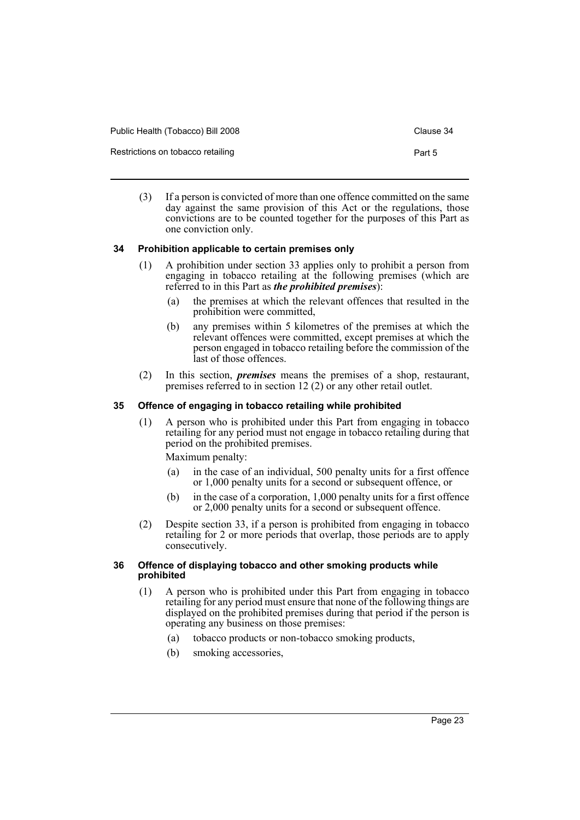| Public Health (Tobacco) Bill 2008 | Clause 34 |
|-----------------------------------|-----------|
| Restrictions on tobacco retailing | Part 5    |

(3) If a person is convicted of more than one offence committed on the same day against the same provision of this Act or the regulations, those convictions are to be counted together for the purposes of this Part as one conviction only.

# <span id="page-26-0"></span>**34 Prohibition applicable to certain premises only**

- (1) A prohibition under section 33 applies only to prohibit a person from engaging in tobacco retailing at the following premises (which are referred to in this Part as *the prohibited premises*):
	- (a) the premises at which the relevant offences that resulted in the prohibition were committed,
	- (b) any premises within 5 kilometres of the premises at which the relevant offences were committed, except premises at which the person engaged in tobacco retailing before the commission of the last of those offences.
- (2) In this section, *premises* means the premises of a shop, restaurant, premises referred to in section 12 (2) or any other retail outlet.

# <span id="page-26-1"></span>**35 Offence of engaging in tobacco retailing while prohibited**

(1) A person who is prohibited under this Part from engaging in tobacco retailing for any period must not engage in tobacco retailing during that period on the prohibited premises.

Maximum penalty:

- (a) in the case of an individual, 500 penalty units for a first offence or 1,000 penalty units for a second or subsequent offence, or
- (b) in the case of a corporation, 1,000 penalty units for a first offence or 2,000 penalty units for a second or subsequent offence.
- (2) Despite section 33, if a person is prohibited from engaging in tobacco retailing for 2 or more periods that overlap, those periods are to apply consecutively.

#### <span id="page-26-2"></span>**36 Offence of displaying tobacco and other smoking products while prohibited**

- (1) A person who is prohibited under this Part from engaging in tobacco retailing for any period must ensure that none of the following things are displayed on the prohibited premises during that period if the person is operating any business on those premises:
	- (a) tobacco products or non-tobacco smoking products,
	- (b) smoking accessories,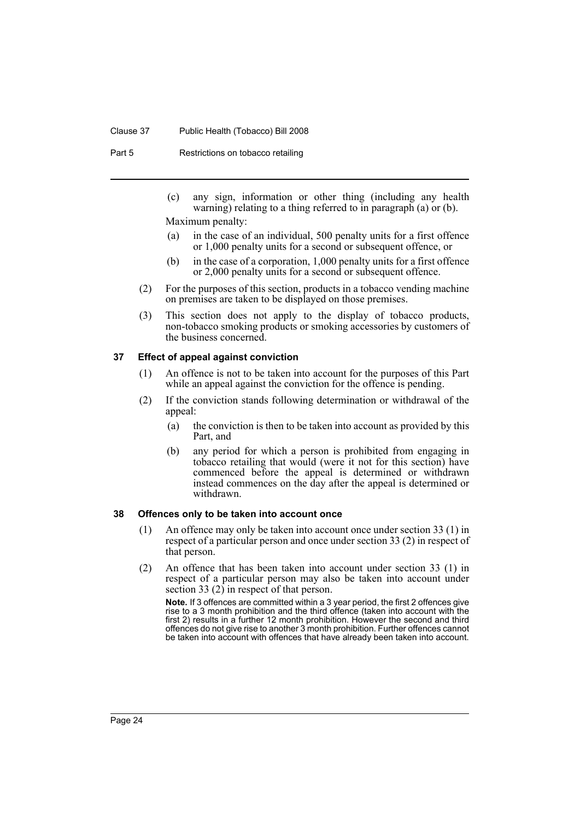#### Clause 37 Public Health (Tobacco) Bill 2008

Part 5 Restrictions on tobacco retailing

(c) any sign, information or other thing (including any health warning) relating to a thing referred to in paragraph (a) or (b).

Maximum penalty:

- (a) in the case of an individual, 500 penalty units for a first offence or 1,000 penalty units for a second or subsequent offence, or
- (b) in the case of a corporation, 1,000 penalty units for a first offence or 2,000 penalty units for a second or subsequent offence.
- (2) For the purposes of this section, products in a tobacco vending machine on premises are taken to be displayed on those premises.
- (3) This section does not apply to the display of tobacco products, non-tobacco smoking products or smoking accessories by customers of the business concerned.

### <span id="page-27-0"></span>**37 Effect of appeal against conviction**

- (1) An offence is not to be taken into account for the purposes of this Part while an appeal against the conviction for the offence is pending.
- (2) If the conviction stands following determination or withdrawal of the appeal:
	- (a) the conviction is then to be taken into account as provided by this Part, and
	- (b) any period for which a person is prohibited from engaging in tobacco retailing that would (were it not for this section) have commenced before the appeal is determined or withdrawn instead commences on the day after the appeal is determined or withdrawn.

#### <span id="page-27-1"></span>**38 Offences only to be taken into account once**

- (1) An offence may only be taken into account once under section 33 (1) in respect of a particular person and once under section 33 (2) in respect of that person.
- (2) An offence that has been taken into account under section 33 (1) in respect of a particular person may also be taken into account under section 33 (2) in respect of that person.

**Note.** If 3 offences are committed within a 3 year period, the first 2 offences give rise to a 3 month prohibition and the third offence (taken into account with the first 2) results in a further 12 month prohibition. However the second and third offences do not give rise to another 3 month prohibition. Further offences cannot be taken into account with offences that have already been taken into account.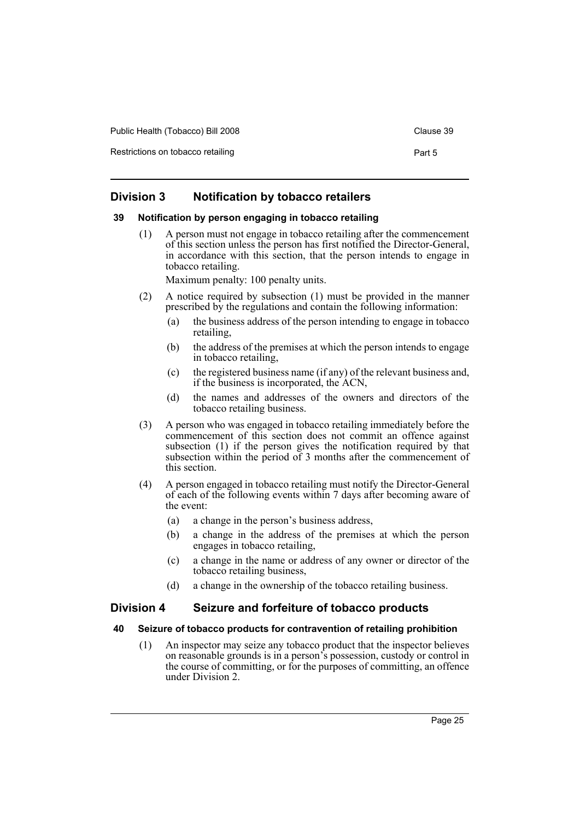| Public Health (Tobacco) Bill 2008 | Clause 39 |
|-----------------------------------|-----------|
|-----------------------------------|-----------|

Restrictions on tobacco retailing example of the extractions on tobacco retailing Part 5

# <span id="page-28-0"></span>**Division 3 Notification by tobacco retailers**

#### <span id="page-28-1"></span>**39 Notification by person engaging in tobacco retailing**

(1) A person must not engage in tobacco retailing after the commencement of this section unless the person has first notified the Director-General, in accordance with this section, that the person intends to engage in tobacco retailing.

Maximum penalty: 100 penalty units.

- (2) A notice required by subsection (1) must be provided in the manner prescribed by the regulations and contain the following information:
	- (a) the business address of the person intending to engage in tobacco retailing,
	- (b) the address of the premises at which the person intends to engage in tobacco retailing,
	- (c) the registered business name (if any) of the relevant business and, if the business is incorporated, the ACN,
	- (d) the names and addresses of the owners and directors of the tobacco retailing business.
- (3) A person who was engaged in tobacco retailing immediately before the commencement of this section does not commit an offence against subsection (1) if the person gives the notification required by that subsection within the period of 3 months after the commencement of this section.
- (4) A person engaged in tobacco retailing must notify the Director-General of each of the following events within 7 days after becoming aware of the event:
	- (a) a change in the person's business address,
	- (b) a change in the address of the premises at which the person engages in tobacco retailing,
	- (c) a change in the name or address of any owner or director of the tobacco retailing business,
	- (d) a change in the ownership of the tobacco retailing business.

# <span id="page-28-2"></span>**Division 4 Seizure and forfeiture of tobacco products**

#### <span id="page-28-3"></span>**40 Seizure of tobacco products for contravention of retailing prohibition**

(1) An inspector may seize any tobacco product that the inspector believes on reasonable grounds is in a person's possession, custody or control in the course of committing, or for the purposes of committing, an offence under Division 2.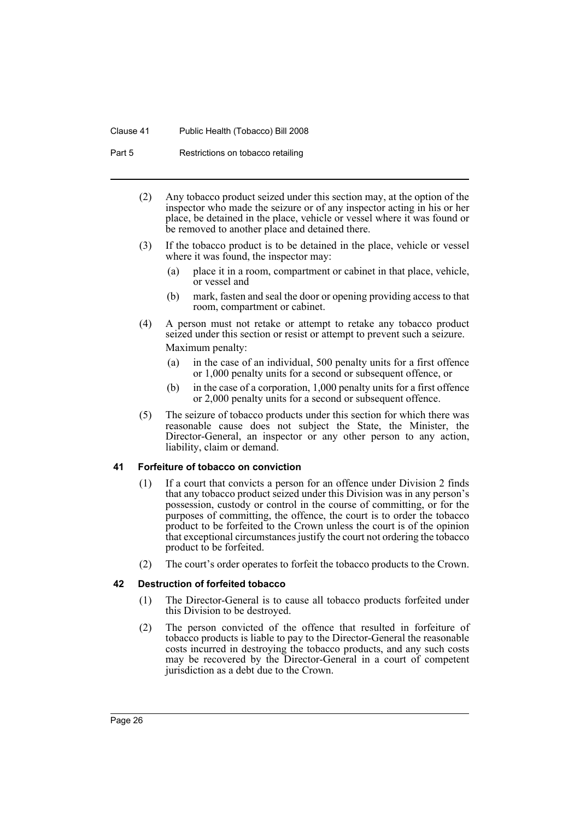#### Clause 41 Public Health (Tobacco) Bill 2008

Part 5 Restrictions on tobacco retailing

- (2) Any tobacco product seized under this section may, at the option of the inspector who made the seizure or of any inspector acting in his or her place, be detained in the place, vehicle or vessel where it was found or be removed to another place and detained there.
- (3) If the tobacco product is to be detained in the place, vehicle or vessel where it was found, the inspector may:
	- (a) place it in a room, compartment or cabinet in that place, vehicle, or vessel and
	- (b) mark, fasten and seal the door or opening providing access to that room, compartment or cabinet.
- (4) A person must not retake or attempt to retake any tobacco product seized under this section or resist or attempt to prevent such a seizure. Maximum penalty:
	- (a) in the case of an individual, 500 penalty units for a first offence or 1,000 penalty units for a second or subsequent offence, or
	- (b) in the case of a corporation, 1,000 penalty units for a first offence or 2,000 penalty units for a second or subsequent offence.
- (5) The seizure of tobacco products under this section for which there was reasonable cause does not subject the State, the Minister, the Director-General, an inspector or any other person to any action, liability, claim or demand.

#### <span id="page-29-0"></span>**41 Forfeiture of tobacco on conviction**

- (1) If a court that convicts a person for an offence under Division 2 finds that any tobacco product seized under this Division was in any person's possession, custody or control in the course of committing, or for the purposes of committing, the offence, the court is to order the tobacco product to be forfeited to the Crown unless the court is of the opinion that exceptional circumstances justify the court not ordering the tobacco product to be forfeited.
- (2) The court's order operates to forfeit the tobacco products to the Crown.

# <span id="page-29-1"></span>**42 Destruction of forfeited tobacco**

- (1) The Director-General is to cause all tobacco products forfeited under this Division to be destroyed.
- (2) The person convicted of the offence that resulted in forfeiture of tobacco products is liable to pay to the Director-General the reasonable costs incurred in destroying the tobacco products, and any such costs may be recovered by the Director-General in a court of competent jurisdiction as a debt due to the Crown.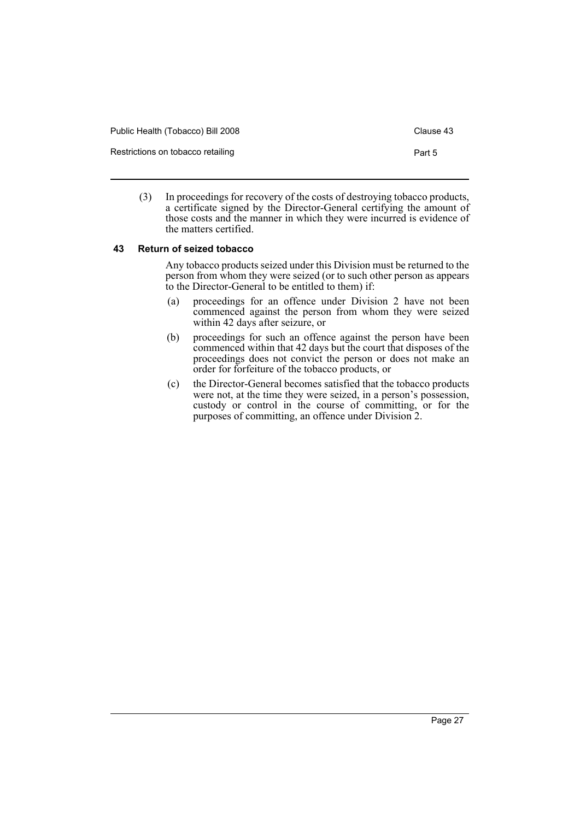| Public Health (Tobacco) Bill 2008 | Clause 43 |
|-----------------------------------|-----------|
| Restrictions on tobacco retailing | Part 5    |

(3) In proceedings for recovery of the costs of destroying tobacco products, a certificate signed by the Director-General certifying the amount of those costs and the manner in which they were incurred is evidence of the matters certified.

### <span id="page-30-0"></span>**43 Return of seized tobacco**

Any tobacco products seized under this Division must be returned to the person from whom they were seized (or to such other person as appears to the Director-General to be entitled to them) if:

- (a) proceedings for an offence under Division 2 have not been commenced against the person from whom they were seized within 42 days after seizure, or
- (b) proceedings for such an offence against the person have been commenced within that 42 days but the court that disposes of the proceedings does not convict the person or does not make an order for forfeiture of the tobacco products, or
- (c) the Director-General becomes satisfied that the tobacco products were not, at the time they were seized, in a person's possession, custody or control in the course of committing, or for the purposes of committing, an offence under Division 2.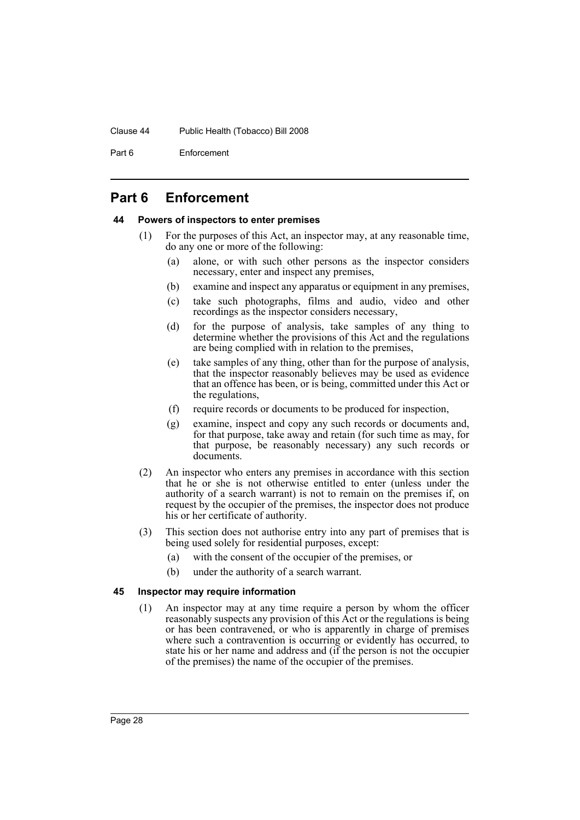#### Clause 44 Public Health (Tobacco) Bill 2008

Part 6 Enforcement

# <span id="page-31-0"></span>**Part 6 Enforcement**

### <span id="page-31-1"></span>**44 Powers of inspectors to enter premises**

- (1) For the purposes of this Act, an inspector may, at any reasonable time, do any one or more of the following:
	- (a) alone, or with such other persons as the inspector considers necessary, enter and inspect any premises,
	- (b) examine and inspect any apparatus or equipment in any premises,
	- (c) take such photographs, films and audio, video and other recordings as the inspector considers necessary,
	- (d) for the purpose of analysis, take samples of any thing to determine whether the provisions of this Act and the regulations are being complied with in relation to the premises,
	- (e) take samples of any thing, other than for the purpose of analysis, that the inspector reasonably believes may be used as evidence that an offence has been, or is being, committed under this Act or the regulations,
	- (f) require records or documents to be produced for inspection,
	- (g) examine, inspect and copy any such records or documents and, for that purpose, take away and retain (for such time as may, for that purpose, be reasonably necessary) any such records or documents.
- (2) An inspector who enters any premises in accordance with this section that he or she is not otherwise entitled to enter (unless under the authority of a search warrant) is not to remain on the premises if, on request by the occupier of the premises, the inspector does not produce his or her certificate of authority.
- (3) This section does not authorise entry into any part of premises that is being used solely for residential purposes, except:
	- (a) with the consent of the occupier of the premises, or
	- (b) under the authority of a search warrant.

#### <span id="page-31-2"></span>**45 Inspector may require information**

(1) An inspector may at any time require a person by whom the officer reasonably suspects any provision of this Act or the regulations is being or has been contravened, or who is apparently in charge of premises where such a contravention is occurring or evidently has occurred, to state his or her name and address and (if the person is not the occupier of the premises) the name of the occupier of the premises.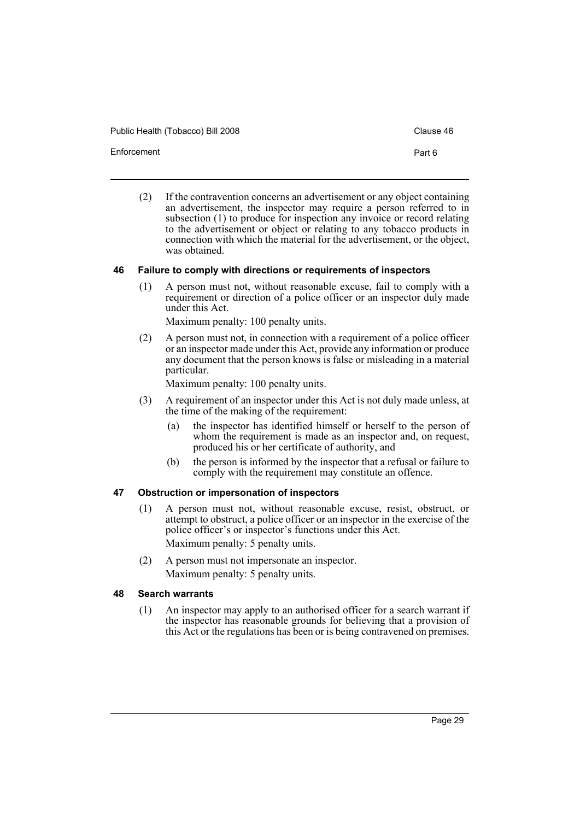Public Health (Tobacco) Bill 2008 Clause 46

Enforcement Part 6

- 
- (2) If the contravention concerns an advertisement or any object containing an advertisement, the inspector may require a person referred to in subsection (1) to produce for inspection any invoice or record relating to the advertisement or object or relating to any tobacco products in connection with which the material for the advertisement, or the object, was obtained.

### <span id="page-32-0"></span>**46 Failure to comply with directions or requirements of inspectors**

(1) A person must not, without reasonable excuse, fail to comply with a requirement or direction of a police officer or an inspector duly made under this Act.

Maximum penalty: 100 penalty units.

(2) A person must not, in connection with a requirement of a police officer or an inspector made under this Act, provide any information or produce any document that the person knows is false or misleading in a material particular.

Maximum penalty: 100 penalty units.

- (3) A requirement of an inspector under this Act is not duly made unless, at the time of the making of the requirement:
	- (a) the inspector has identified himself or herself to the person of whom the requirement is made as an inspector and, on request, produced his or her certificate of authority, and
	- (b) the person is informed by the inspector that a refusal or failure to comply with the requirement may constitute an offence.

# <span id="page-32-1"></span>**47 Obstruction or impersonation of inspectors**

- (1) A person must not, without reasonable excuse, resist, obstruct, or attempt to obstruct, a police officer or an inspector in the exercise of the police officer's or inspector's functions under this Act. Maximum penalty: 5 penalty units.
- (2) A person must not impersonate an inspector. Maximum penalty: 5 penalty units.

# <span id="page-32-2"></span>**48 Search warrants**

(1) An inspector may apply to an authorised officer for a search warrant if the inspector has reasonable grounds for believing that a provision of this Act or the regulations has been or is being contravened on premises.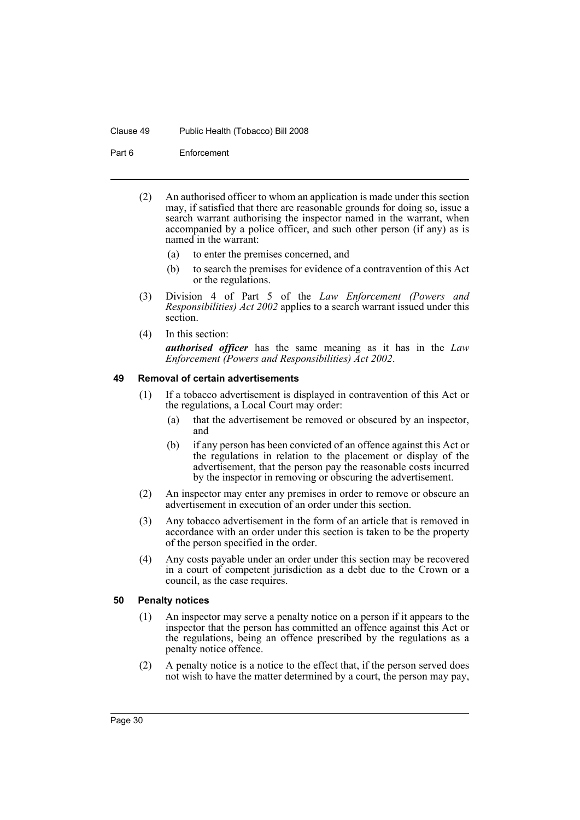#### Clause 49 Public Health (Tobacco) Bill 2008

Part 6 Enforcement

- (2) An authorised officer to whom an application is made under this section may, if satisfied that there are reasonable grounds for doing so, issue a search warrant authorising the inspector named in the warrant, when accompanied by a police officer, and such other person (if any) as is named in the warrant:
	- (a) to enter the premises concerned, and
	- (b) to search the premises for evidence of a contravention of this Act or the regulations.
- (3) Division 4 of Part 5 of the *Law Enforcement (Powers and Responsibilities) Act 2002* applies to a search warrant issued under this section.
- (4) In this section: *authorised officer* has the same meaning as it has in the *Law Enforcement (Powers and Responsibilities) Act 2002*.

### <span id="page-33-0"></span>**49 Removal of certain advertisements**

- (1) If a tobacco advertisement is displayed in contravention of this Act or the regulations, a Local Court may order:
	- (a) that the advertisement be removed or obscured by an inspector, and
	- (b) if any person has been convicted of an offence against this Act or the regulations in relation to the placement or display of the advertisement, that the person pay the reasonable costs incurred by the inspector in removing or obscuring the advertisement.
- (2) An inspector may enter any premises in order to remove or obscure an advertisement in execution of an order under this section.
- (3) Any tobacco advertisement in the form of an article that is removed in accordance with an order under this section is taken to be the property of the person specified in the order.
- (4) Any costs payable under an order under this section may be recovered in a court of competent jurisdiction as a debt due to the Crown or a council, as the case requires.

#### <span id="page-33-1"></span>**50 Penalty notices**

- (1) An inspector may serve a penalty notice on a person if it appears to the inspector that the person has committed an offence against this Act or the regulations, being an offence prescribed by the regulations as a penalty notice offence.
- (2) A penalty notice is a notice to the effect that, if the person served does not wish to have the matter determined by a court, the person may pay,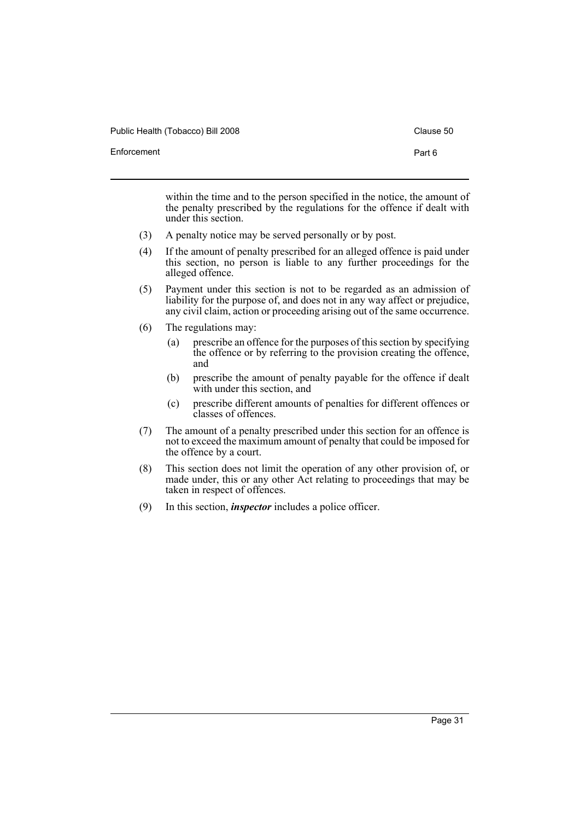Public Health (Tobacco) Bill 2008 Clause 50

within the time and to the person specified in the notice, the amount of the penalty prescribed by the regulations for the offence if dealt with under this section.

- (3) A penalty notice may be served personally or by post.
- (4) If the amount of penalty prescribed for an alleged offence is paid under this section, no person is liable to any further proceedings for the alleged offence.
- (5) Payment under this section is not to be regarded as an admission of liability for the purpose of, and does not in any way affect or prejudice, any civil claim, action or proceeding arising out of the same occurrence.
- (6) The regulations may:
	- (a) prescribe an offence for the purposes of this section by specifying the offence or by referring to the provision creating the offence, and
	- (b) prescribe the amount of penalty payable for the offence if dealt with under this section, and
	- (c) prescribe different amounts of penalties for different offences or classes of offences.
- (7) The amount of a penalty prescribed under this section for an offence is not to exceed the maximum amount of penalty that could be imposed for the offence by a court.
- (8) This section does not limit the operation of any other provision of, or made under, this or any other Act relating to proceedings that may be taken in respect of offences.
- (9) In this section, *inspector* includes a police officer.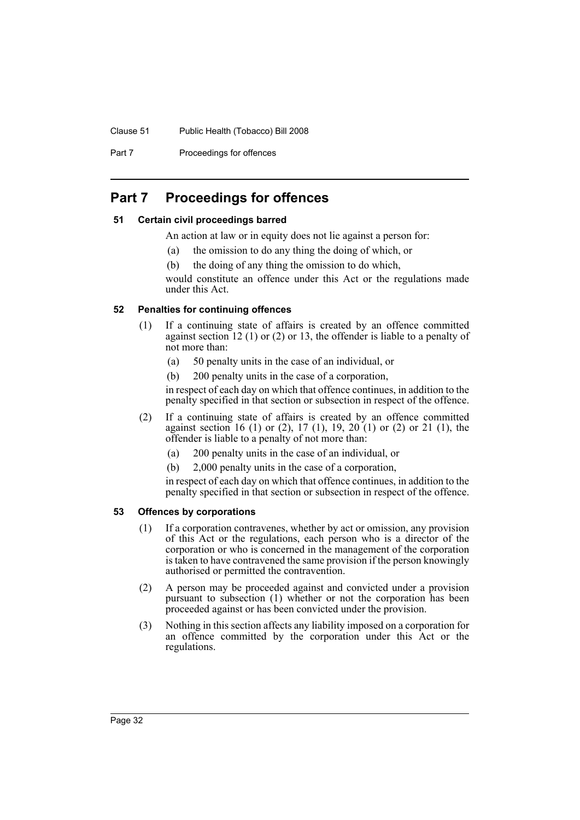#### Clause 51 Public Health (Tobacco) Bill 2008

Part 7 **Proceedings for offences** 

# <span id="page-35-0"></span>**Part 7 Proceedings for offences**

# <span id="page-35-1"></span>**51 Certain civil proceedings barred**

- An action at law or in equity does not lie against a person for:
	- (a) the omission to do any thing the doing of which, or
- (b) the doing of any thing the omission to do which,

would constitute an offence under this Act or the regulations made under this Act.

# <span id="page-35-2"></span>**52 Penalties for continuing offences**

- (1) If a continuing state of affairs is created by an offence committed against section 12 (1) or (2) or 13, the offender is liable to a penalty of not more than:
	- (a) 50 penalty units in the case of an individual, or
	- (b) 200 penalty units in the case of a corporation,

in respect of each day on which that offence continues, in addition to the penalty specified in that section or subsection in respect of the offence.

- (2) If a continuing state of affairs is created by an offence committed against section 16 (1) or (2), 17 (1), 19, 20 (1) or (2) or 21 (1), the offender is liable to a penalty of not more than:
	- (a) 200 penalty units in the case of an individual, or
	- (b) 2,000 penalty units in the case of a corporation,

in respect of each day on which that offence continues, in addition to the penalty specified in that section or subsection in respect of the offence.

# <span id="page-35-3"></span>**53 Offences by corporations**

- (1) If a corporation contravenes, whether by act or omission, any provision of this Act or the regulations, each person who is a director of the corporation or who is concerned in the management of the corporation is taken to have contravened the same provision if the person knowingly authorised or permitted the contravention.
- (2) A person may be proceeded against and convicted under a provision pursuant to subsection (1) whether or not the corporation has been proceeded against or has been convicted under the provision.
- (3) Nothing in this section affects any liability imposed on a corporation for an offence committed by the corporation under this Act or the regulations.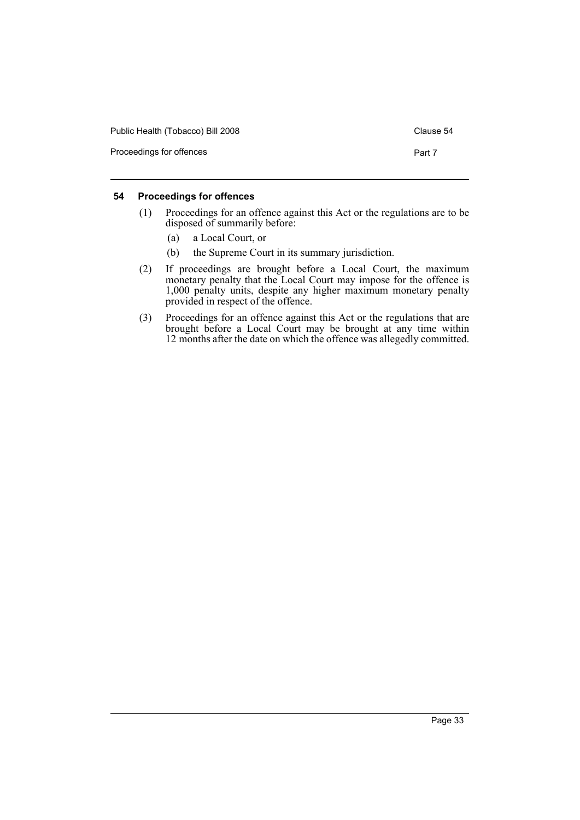| Public Health (Tobacco) Bill 2008 | Clause 54 |
|-----------------------------------|-----------|
| Proceedings for offences          | Part 7    |

# <span id="page-36-0"></span>**54 Proceedings for offences**

- (1) Proceedings for an offence against this Act or the regulations are to be disposed of summarily before:
	- (a) a Local Court, or
	- (b) the Supreme Court in its summary jurisdiction.
- (2) If proceedings are brought before a Local Court, the maximum monetary penalty that the Local Court may impose for the offence is 1,000 penalty units, despite any higher maximum monetary penalty provided in respect of the offence.
- (3) Proceedings for an offence against this Act or the regulations that are brought before a Local Court may be brought at any time within 12 months after the date on which the offence was allegedly committed.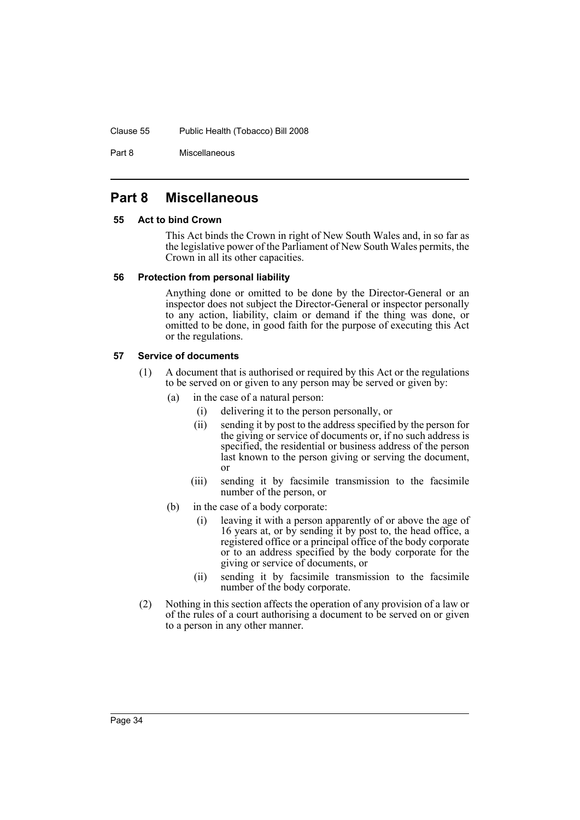#### Clause 55 Public Health (Tobacco) Bill 2008

Part 8 Miscellaneous

# <span id="page-37-0"></span>**Part 8 Miscellaneous**

### <span id="page-37-1"></span>**55 Act to bind Crown**

This Act binds the Crown in right of New South Wales and, in so far as the legislative power of the Parliament of New South Wales permits, the Crown in all its other capacities.

### <span id="page-37-2"></span>**56 Protection from personal liability**

Anything done or omitted to be done by the Director-General or an inspector does not subject the Director-General or inspector personally to any action, liability, claim or demand if the thing was done, or omitted to be done, in good faith for the purpose of executing this Act or the regulations.

# <span id="page-37-3"></span>**57 Service of documents**

- (1) A document that is authorised or required by this Act or the regulations to be served on or given to any person may be served or given by:
	- (a) in the case of a natural person:
		- (i) delivering it to the person personally, or
		- (ii) sending it by post to the address specified by the person for the giving or service of documents or, if no such address is specified, the residential or business address of the person last known to the person giving or serving the document, or
		- (iii) sending it by facsimile transmission to the facsimile number of the person, or
	- (b) in the case of a body corporate:
		- (i) leaving it with a person apparently of or above the age of 16 years at, or by sending it by post to, the head office, a registered office or a principal office of the body corporate or to an address specified by the body corporate for the giving or service of documents, or
		- (ii) sending it by facsimile transmission to the facsimile number of the body corporate.
- (2) Nothing in this section affects the operation of any provision of a law or of the rules of a court authorising a document to be served on or given to a person in any other manner.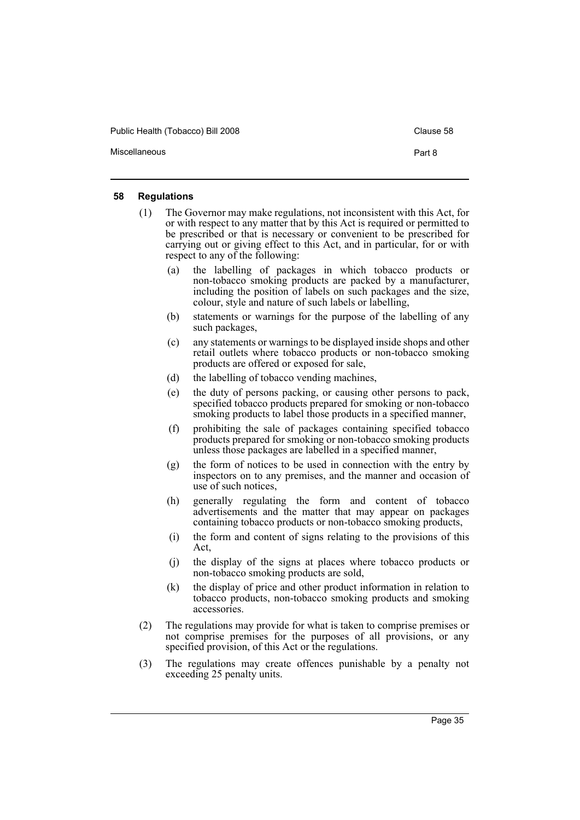Public Health (Tobacco) Bill 2008 Clause 58

Miscellaneous **Part 8** 

#### <span id="page-38-0"></span>**58 Regulations**

- (1) The Governor may make regulations, not inconsistent with this Act, for or with respect to any matter that by this Act is required or permitted to be prescribed or that is necessary or convenient to be prescribed for carrying out or giving effect to this Act, and in particular, for or with respect to any of the following:
	- (a) the labelling of packages in which tobacco products or non-tobacco smoking products are packed by a manufacturer, including the position of labels on such packages and the size, colour, style and nature of such labels or labelling,
	- (b) statements or warnings for the purpose of the labelling of any such packages,
	- (c) any statements or warnings to be displayed inside shops and other retail outlets where tobacco products or non-tobacco smoking products are offered or exposed for sale,
	- (d) the labelling of tobacco vending machines,
	- (e) the duty of persons packing, or causing other persons to pack, specified tobacco products prepared for smoking or non-tobacco smoking products to label those products in a specified manner,
	- (f) prohibiting the sale of packages containing specified tobacco products prepared for smoking or non-tobacco smoking products unless those packages are labelled in a specified manner,
	- (g) the form of notices to be used in connection with the entry by inspectors on to any premises, and the manner and occasion of use of such notices,
	- (h) generally regulating the form and content of tobacco advertisements and the matter that may appear on packages containing tobacco products or non-tobacco smoking products,
	- (i) the form and content of signs relating to the provisions of this Act,
	- (j) the display of the signs at places where tobacco products or non-tobacco smoking products are sold,
	- (k) the display of price and other product information in relation to tobacco products, non-tobacco smoking products and smoking accessories.
- (2) The regulations may provide for what is taken to comprise premises or not comprise premises for the purposes of all provisions, or any specified provision, of this Act or the regulations.
- (3) The regulations may create offences punishable by a penalty not exceeding 25 penalty units.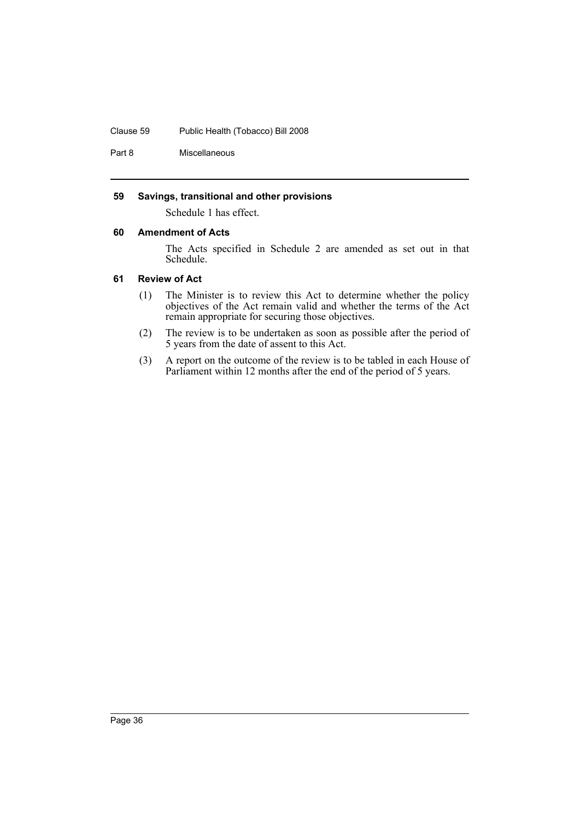#### Clause 59 Public Health (Tobacco) Bill 2008

Part 8 Miscellaneous

### <span id="page-39-0"></span>**59 Savings, transitional and other provisions**

Schedule 1 has effect.

#### <span id="page-39-1"></span>**60 Amendment of Acts**

The Acts specified in Schedule 2 are amended as set out in that Schedule.

#### <span id="page-39-2"></span>**61 Review of Act**

- (1) The Minister is to review this Act to determine whether the policy objectives of the Act remain valid and whether the terms of the Act remain appropriate for securing those objectives.
- (2) The review is to be undertaken as soon as possible after the period of 5 years from the date of assent to this Act.
- (3) A report on the outcome of the review is to be tabled in each House of Parliament within 12 months after the end of the period of 5 years.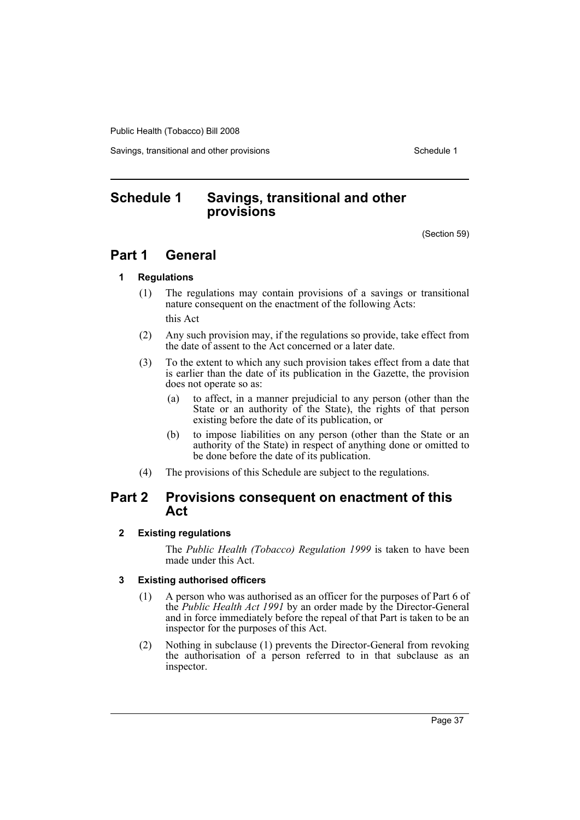Savings, transitional and other provisions Schedule 1 and Schedule 1

# <span id="page-40-0"></span>**Schedule 1 Savings, transitional and other provisions**

(Section 59)

# **Part 1 General**

# **1 Regulations**

(1) The regulations may contain provisions of a savings or transitional nature consequent on the enactment of the following Acts:

this Act

- (2) Any such provision may, if the regulations so provide, take effect from the date of assent to the Act concerned or a later date.
- (3) To the extent to which any such provision takes effect from a date that is earlier than the date of its publication in the Gazette, the provision does not operate so as:
	- (a) to affect, in a manner prejudicial to any person (other than the State or an authority of the State), the rights of that person existing before the date of its publication, or
	- (b) to impose liabilities on any person (other than the State or an authority of the State) in respect of anything done or omitted to be done before the date of its publication.
- (4) The provisions of this Schedule are subject to the regulations.

# **Part 2 Provisions consequent on enactment of this Act**

# **2 Existing regulations**

The *Public Health (Tobacco) Regulation 1999* is taken to have been made under this Act.

# **3 Existing authorised officers**

- (1) A person who was authorised as an officer for the purposes of Part 6 of the *Public Health Act 1991* by an order made by the Director-General and in force immediately before the repeal of that Part is taken to be an inspector for the purposes of this Act.
- (2) Nothing in subclause (1) prevents the Director-General from revoking the authorisation of a person referred to in that subclause as an inspector.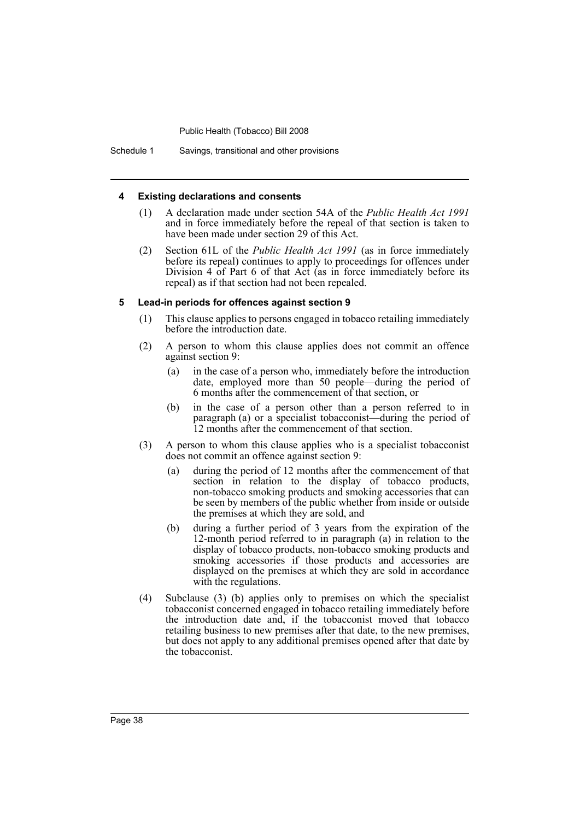Schedule 1 Savings, transitional and other provisions

#### **4 Existing declarations and consents**

- (1) A declaration made under section 54A of the *Public Health Act 1991* and in force immediately before the repeal of that section is taken to have been made under section 29 of this Act.
- (2) Section 61L of the *Public Health Act 1991* (as in force immediately before its repeal) continues to apply to proceedings for offences under Division 4 of Part 6 of that Act (as in force immediately before its repeal) as if that section had not been repealed.

#### **5 Lead-in periods for offences against section 9**

- (1) This clause applies to persons engaged in tobacco retailing immediately before the introduction date.
- (2) A person to whom this clause applies does not commit an offence against section 9:
	- (a) in the case of a person who, immediately before the introduction date, employed more than 50 people—during the period of 6 months after the commencement of that section, or
	- (b) in the case of a person other than a person referred to in paragraph (a) or a specialist tobacconist—during the period of 12 months after the commencement of that section.
- (3) A person to whom this clause applies who is a specialist tobacconist does not commit an offence against section 9:
	- (a) during the period of 12 months after the commencement of that section in relation to the display of tobacco products, non-tobacco smoking products and smoking accessories that can be seen by members of the public whether from inside or outside the premises at which they are sold, and
	- (b) during a further period of 3 years from the expiration of the 12-month period referred to in paragraph (a) in relation to the display of tobacco products, non-tobacco smoking products and smoking accessories if those products and accessories are displayed on the premises at which they are sold in accordance with the regulations.
- (4) Subclause (3) (b) applies only to premises on which the specialist tobacconist concerned engaged in tobacco retailing immediately before the introduction date and, if the tobacconist moved that tobacco retailing business to new premises after that date, to the new premises, but does not apply to any additional premises opened after that date by the tobacconist.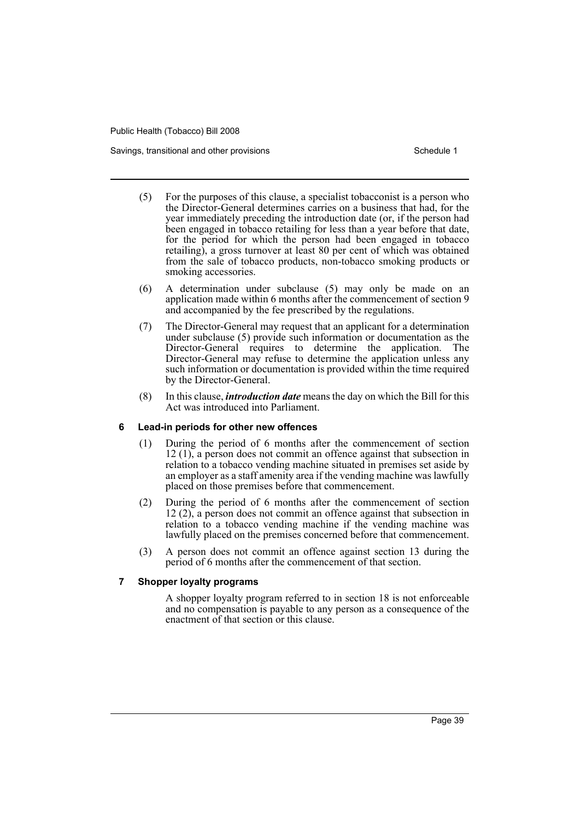Savings, transitional and other provisions Schedule 1 and the state of the Schedule 1

- (5) For the purposes of this clause, a specialist tobacconist is a person who the Director-General determines carries on a business that had, for the year immediately preceding the introduction date (or, if the person had been engaged in tobacco retailing for less than a year before that date, for the period for which the person had been engaged in tobacco retailing), a gross turnover at least 80 per cent of which was obtained from the sale of tobacco products, non-tobacco smoking products or smoking accessories.
- (6) A determination under subclause (5) may only be made on an application made within 6 months after the commencement of section 9 and accompanied by the fee prescribed by the regulations.
- (7) The Director-General may request that an applicant for a determination under subclause (5) provide such information or documentation as the Director-General requires to determine the application. The Director-General may refuse to determine the application unless any such information or documentation is provided within the time required by the Director-General.
- (8) In this clause, *introduction date* means the day on which the Bill for this Act was introduced into Parliament.

#### **6 Lead-in periods for other new offences**

- (1) During the period of 6 months after the commencement of section 12 (1), a person does not commit an offence against that subsection in relation to a tobacco vending machine situated in premises set aside by an employer as a staff amenity area if the vending machine was lawfully placed on those premises before that commencement.
- (2) During the period of 6 months after the commencement of section 12 (2), a person does not commit an offence against that subsection in relation to a tobacco vending machine if the vending machine was lawfully placed on the premises concerned before that commencement.
- (3) A person does not commit an offence against section 13 during the period of 6 months after the commencement of that section.

#### **7 Shopper loyalty programs**

A shopper loyalty program referred to in section 18 is not enforceable and no compensation is payable to any person as a consequence of the enactment of that section or this clause.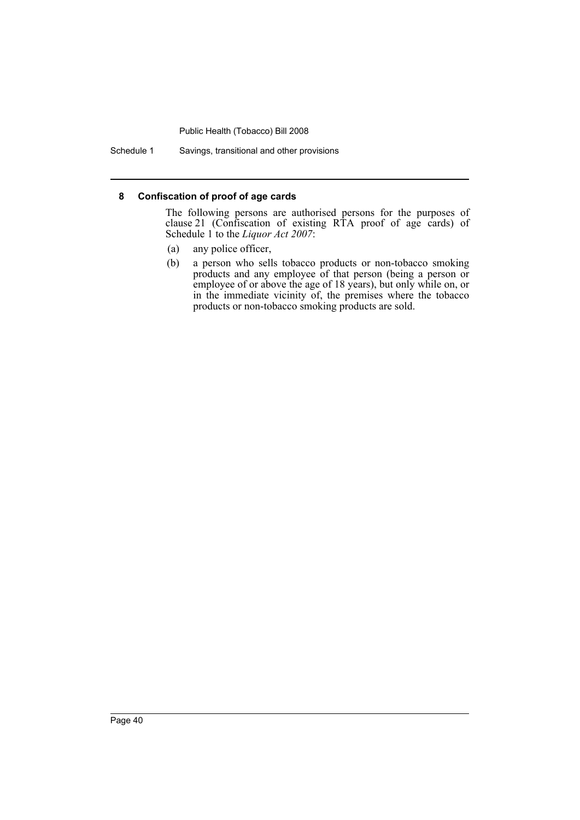Schedule 1 Savings, transitional and other provisions

#### **8 Confiscation of proof of age cards**

The following persons are authorised persons for the purposes of clause 21 (Confiscation of existing RTA proof of age cards) of Schedule 1 to the *Liquor Act 2007*:

- (a) any police officer,
- (b) a person who sells tobacco products or non-tobacco smoking products and any employee of that person (being a person or employee of or above the age of 18 years), but only while on, or in the immediate vicinity of, the premises where the tobacco products or non-tobacco smoking products are sold.